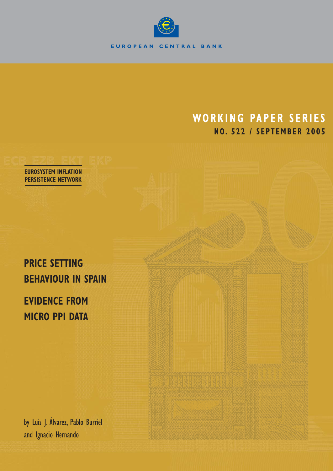

# **WORKING PAPER SERIES NO. 522 / SEPTEMBER 2005**

**EUROSYSTEM INFLATION PERSISTENCE NETWORK**

# **PRICE SETTING BEHAVIOUR IN SPAIN**

# **EVIDENCE FROM MICRO PPI DATA**

by Luis J. Álvarez, Pablo Burriel and Ignacio Hernando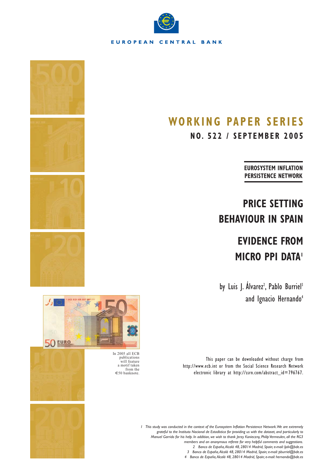

# **WORKING PAPER SERIES**

**NO. 522 / SEPTEMBER 2005**

**EUROSYSTEM INFLATION PERSISTENCE NETWORK**

# **PRICE SETTING BEHAVIOUR IN SPAIN**

# **EVIDENCE FROM MICRO PPI DATA!**

by Luis J. Alvarez<sup>2</sup>, Pablo Burriel<sup>3</sup> and Ignacio Hernando<sup>4</sup>

This paper can be downloaded without charge from http://www.ecb.int or from the Social Science Research Network electronic library at http://ssrn.com/abstract\_id=796767.



publications will feature a motif taken from the €50 banknote.



*1 This study was conducted in the context of the Eurosystem Inflation Persistence Network.We are extremely grateful to the Instituto Nacional de Estadística for providing us with the dataset, and particularly to Manuel Garrido for his help. In addition, we wish to thank Jerzy Konieczny, Philip Vermeulen, all the RG3 members and an anonymous referee for very helpful comments and suggestions. 2 Banco de España,Alcalá 48, 28014 Madrid, Spain; e-mail: ljalv@bde.es 3 Banco de España,Alcalá 48, 28014 Madrid, Spain; e-mail: pburriel@bde.es 4 Banco de España,Alcalá 48, 28014 Madrid, Spain; e-mail: hernando@bde.es*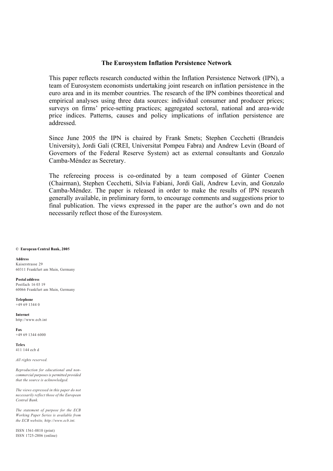# **The Eurosystem Inflation Persistence Network**

This paper reflects research conducted within the Inflation Persistence Network (IPN), a team of Eurosystem economists undertaking joint research on inflation persistence in the euro area and in its member countries. The research of the IPN combines theoretical and empirical analyses using three data sources: individual consumer and producer prices; surveys on firms' price-setting practices; aggregated sectoral, national and area-wide price indices. Patterns, causes and policy implications of inflation persistence are addressed.

Since June 2005 the IPN is chaired by Frank Smets; Stephen Cecchetti (Brandeis University), Jordi Galí (CREI, Universitat Pompeu Fabra) and Andrew Levin (Board of Governors of the Federal Reserve System) act as external consultants and Gonzalo Camba-Méndez as Secretary.

The refereeing process is co-ordinated by a team composed of Günter Coenen (Chairman), Stephen Cecchetti, Silvia Fabiani, Jordi Galí, Andrew Levin, and Gonzalo Camba-Méndez. The paper is released in order to make the results of IPN research generally available, in preliminary form, to encourage comments and suggestions prior to final publication. The views expressed in the paper are the author's own and do not necessarily reflect those of the Eurosystem.

#### **© European Central Bank, 2005**

**Address** Kaiserstrasse 29 60311 Frankfurt am Main, Germany

**Postal address** Postfach 16 03 19 60066 Frankfurt am Main, Germany

**Telephone** +49 69 1344 0

**Internet** http://www.ecb.int

**Fax** +49 69 1344 6000

**Telex** 411 144 ecb d

*All rights reserved.*

*Reproduction for educational and noncommercial purposes is permitted provided that the source is acknowledged.*

*The views expressed in this paper do not necessarily reflect those of the European Central Bank.*

*The statement of purpose for the ECB Working Paper Series is available from the ECB website, http://www.ecb.int.*

ISSN 1561-0810 (print) ISSN 1725-2806 (online)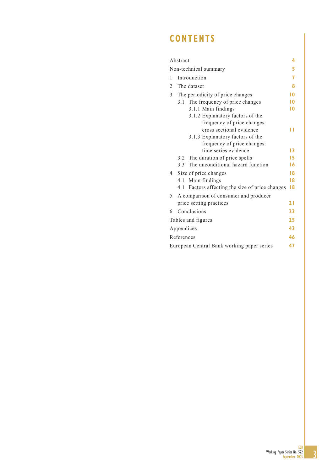# **CONTENTS**

|                       | Abstract                                  |                                             | 4   |  |  |  |  |
|-----------------------|-------------------------------------------|---------------------------------------------|-----|--|--|--|--|
| Non-technical summary |                                           |                                             |     |  |  |  |  |
| 1                     | Introduction                              |                                             |     |  |  |  |  |
| 2                     | The dataset                               |                                             |     |  |  |  |  |
| 3                     | 10<br>The periodicity of price changes    |                                             |     |  |  |  |  |
|                       | 3.1 The frequency of price changes<br>1 O |                                             |     |  |  |  |  |
|                       |                                           | 3.1.1 Main findings                         | l 0 |  |  |  |  |
|                       |                                           | 3.1.2 Explanatory factors of the            |     |  |  |  |  |
|                       |                                           | frequency of price changes:                 |     |  |  |  |  |
|                       |                                           | cross sectional evidence                    | ш   |  |  |  |  |
|                       |                                           | 3.1.3 Explanatory factors of the            |     |  |  |  |  |
|                       |                                           | frequency of price changes:                 |     |  |  |  |  |
|                       |                                           | time series evidence                        | 13  |  |  |  |  |
|                       | $3.2^{\circ}$                             | The duration of price spells                | 15  |  |  |  |  |
|                       | 3.3                                       | The unconditional hazard function           | 16  |  |  |  |  |
| $\overline{4}$        |                                           | Size of price changes                       | 18  |  |  |  |  |
|                       | 4.1                                       | Main findings                               | 18  |  |  |  |  |
|                       | 4.1                                       | Factors affecting the size of price changes | 18  |  |  |  |  |
| 5                     |                                           | A comparison of consumer and producer       |     |  |  |  |  |
|                       |                                           | price setting practices                     | 21  |  |  |  |  |
| 6                     |                                           | Conclusions                                 | 23  |  |  |  |  |
|                       |                                           | Tables and figures                          | 25  |  |  |  |  |
|                       | Appendices                                |                                             | 43  |  |  |  |  |
|                       | References                                |                                             | 46  |  |  |  |  |
|                       |                                           | European Central Bank working paper series  | 47  |  |  |  |  |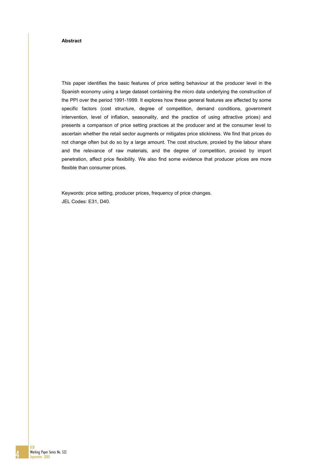#### **Abstract**

This paper identifies the basic features of price setting behaviour at the producer level in the Spanish economy using a large dataset containing the micro data underlying the construction of the PPI over the period 1991-1999. It explores how these general features are affected by some specific factors (cost structure, degree of competition, demand conditions, government intervention, level of inflation, seasonality, and the practice of using attractive prices) and presents a comparison of price setting practices at the producer and at the consumer level to ascertain whether the retail sector augments or mitigates price stickiness. We find that prices do not change often but do so by a large amount. The cost structure, proxied by the labour share and the relevance of raw materials, and the degree of competition, proxied by import penetration, affect price flexibility. We also find some evidence that producer prices are more flexible than consumer prices.

Keywords: price setting, producer prices, frequency of price changes. JEL Codes: E31, D40.



**ECB**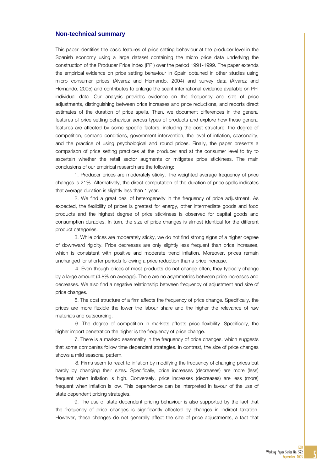#### **Non-technical summary**

This paper identifies the basic features of price setting behaviour at the producer level in the Spanish economy using a large dataset containing the micro price data underlying the construction of the Producer Price Index (PPI) over the period 1991-1999. The paper extends the empirical evidence on price setting behaviour in Spain obtained in other studies using micro consumer prices (Álvarez and Hernando, 2004) and survey data (Álvarez and Hernando, 2005) and contributes to enlarge the scant international evidence available on PPI individual data. Our analysis provides evidence on the frequency and size of price adjustments, distinguishing between price increases and price reductions, and reports direct estimates of the duration of price spells. Then, we document differences in the general features of price setting behaviour across types of products and explore how these general features are affected by some specific factors, including the cost structure, the degree of competition, demand conditions, government intervention, the level of inflation, seasonality, and the practice of using psychological and round prices. Finally, the paper presents a comparison of price setting practices at the producer and at the consumer level to try to ascertain whether the retail sector augments or mitigates price stickiness. The main conclusions of our empirical research are the following:

1. Producer prices are moderately sticky. The weighted average frequency of price changes is 21%. Alternatively, the direct computation of the duration of price spells indicates that average duration is slightly less than 1 year.

2. We find a great deal of heterogeneity in the frequency of price adjustment. As expected, the flexibility of prices is greatest for energy, other intermediate goods and food products and the highest degree of price stickiness is observed for capital goods and consumption durables. In turn, the size of price changes is almost identical for the different product categories.

3. While prices are moderately sticky, we do not find strong signs of a higher degree of downward rigidity. Price decreases are only slightly less frequent than price increases, which is consistent with positive and moderate trend inflation. Moreover, prices remain unchanged for shorter periods following a price reduction than a price increase.

 4. Even though prices of most products do not change often, they typically change by a large amount (4.8% on average). There are no asymmetries between price increases and decreases. We also find a negative relationship between frequency of adjustment and size of price changes.

5. The cost structure of a firm affects the frequency of price change. Specifically, the prices are more flexible the lower the labour share and the higher the relevance of raw materials and outsourcing.

 6. The degree of competition in markets affects price flexibility. Specifically, the higher import penetration the higher is the frequency of price change.

7. There is a marked seasonality in the frequency of price changes, which suggests that some companies follow time dependent strategies. In contrast, the size of price changes shows a mild seasonal pattern.

 8. Firms seem to react to inflation by modifying the frequency of changing prices but hardly by changing their sizes. Specifically, price increases (decreases) are more (less) frequent when inflation is high. Conversely, price increases (decreases) are less (more) frequent when inflation is low. This dependence can be interpreted in favour of the use of state dependent pricing strategies.

9. The use of state-dependent pricing behaviour is also supported by the fact that the frequency of price changes is significantly affected by changes in indirect taxation. However, these changes do not generally affect the size of price adjustments, a fact that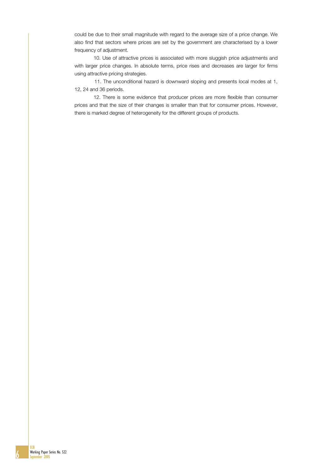could be due to their small magnitude with regard to the average size of a price change. We also find that sectors where prices are set by the government are characterised by a lower frequency of adjustment.

10. Use of attractive prices is associated with more sluggish price adjustments and with larger price changes. In absolute terms, price rises and decreases are larger for firms using attractive pricing strategies.

 11. The unconditional hazard is downward sloping and presents local modes at 1, 12, 24 and 36 periods.

12. There is some evidence that producer prices are more flexible than consumer prices and that the size of their changes is smaller than that for consumer prices. However, there is marked degree of heterogeneity for the different groups of products.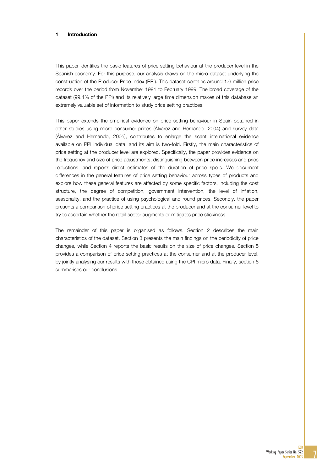#### 1 Introduction

This paper identifies the basic features of price setting behaviour at the producer level in the Spanish economy. For this purpose, our analysis draws on the micro-dataset underlying the construction of the Producer Price Index (PPI). This dataset contains around 1.6 million price records over the period from November 1991 to February 1999. The broad coverage of the dataset (99.4% of the PPI) and its relatively large time dimension makes of this database an extremely valuable set of information to study price setting practices.

This paper extends the empirical evidence on price setting behaviour in Spain obtained in other studies using micro consumer prices (Álvarez and Hernando, 2004) and survey data (Álvarez and Hernando, 2005), contributes to enlarge the scant international evidence available on PPI individual data, and its aim is two-fold. Firstly, the main characteristics of price setting at the producer level are explored. Specifically, the paper provides evidence on the frequency and size of price adjustments, distinguishing between price increases and price reductions, and reports direct estimates of the duration of price spells. We document differences in the general features of price setting behaviour across types of products and explore how these general features are affected by some specific factors, including the cost structure, the degree of competition, government intervention, the level of inflation, seasonality, and the practice of using psychological and round prices. Secondly, the paper presents a comparison of price setting practices at the producer and at the consumer level to try to ascertain whether the retail sector augments or mitigates price stickiness.

The remainder of this paper is organised as follows. Section 2 describes the main characteristics of the dataset. Section 3 presents the main findings on the periodicity of price changes, while Section 4 reports the basic results on the size of price changes. Section 5 provides a comparison of price setting practices at the consumer and at the producer level, by jointly analysing our results with those obtained using the CPI micro data. Finally, section 6 summarises our conclusions.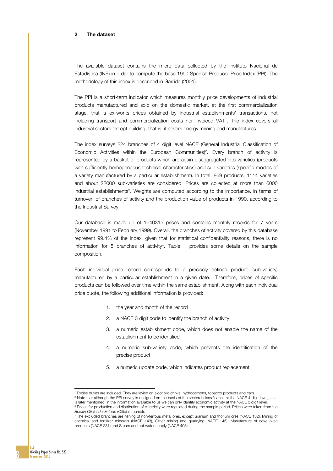#### 2 The dataset

The available dataset contains the micro data collected by the Instituto Nacional de Estadística (INE) in order to compute the base 1990 Spanish Producer Price Index (PPI). The methodology of this index is described in Garrido (2001).

The PPI is a short-term indicator which measures monthly price developments of industrial products manufactured and sold on the domestic market, at the first commercialization stage, that is ex-works prices obtained by industrial establishments' transactions, not including transport and commercialization costs nor invoiced VAT1. The index covers all industrial sectors except building, that is, it covers energy, mining and manufactures.

The index surveys 224 branches of 4 digit level NACE (General Industrial Classification of Economic Activities within the European Communities)<sup>2</sup>. Every branch of activity is represented by a basket of products which are again disaggregated into varieties (products with sufficiently homogeneous technical characteristics) and sub-varieties (specific models of a variety manufactured by a particular establishment). In total, 869 products, 1114 varieties and about 22000 sub-varieties are considered. Prices are collected at more than 6000 industrial establishments<sup>3</sup>. Weights are computed according to the importance, in terms of turnover, of branches of activity and the production value of products in 1990, according to the Industrial Survey.

Our database is made up of 1640315 prices and contains monthly records for 7 years (November 1991 to February 1999). Overall, the branches of activity covered by this database represent 99.4% of the index, given that for statistical confidentiality reasons, there is no information for 5 branches of activity4. Table 1 provides some details on the sample composition.

Each individual price record corresponds to a precisely defined product (sub-variety) manufactured by a particular establishment in a given date. Therefore, prices of specific products can be followed over time within the same establishment. Along with each individual price quote, the following additional information is provided:

- 1. the year and month of the record
- 2. a NACE 3 digit code to identify the branch of activity
- 3. a numeric establishment code, which does not enable the name of the establishment to be identified
- 4. a numeric sub-variety code, which prevents the identification of the precise product
- 5. a numeric update code, which indicates product replacement

8

j

<sup>1</sup>

<sup>&#</sup>x27; Excise duties are included. They are levied on alcoholic drinks, hydrocarbons, tobacco products and cars.<br><sup>2</sup> Note that although the PPI survey is designed on the basis of the sectoral classification at the NACE 4 digit is later mentioned, in the information available to us we can only identify economic activity at the NACE 3 digit level.

<sup>&</sup>lt;sup>3</sup> Prices for production and distribution of electricity were regulated during the sample period. Prices were taken from the *Boletín Oficial del Estado (*Official Journal).<br><sup>4</sup> The excluded branches are Mining of non-ferrous metal ores, except uranium and thorium ores (NACE 132), Mining of

chemical and fertilizer minerals (NACE 143), Other mining and quarrying (NACE 145), Manufacture of coke oven products (NACE 231) and Steam and hot water supply (NACE 403).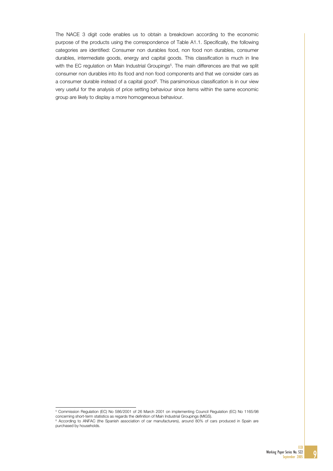The NACE 3 digit code enables us to obtain a breakdown according to the economic purpose of the products using the correspondence of Table A1.1. Specifically, the following categories are identified: Consumer non durables food, non food non durables, consumer durables, intermediate goods, energy and capital goods. This classification is much in line with the EC regulation on Main Industrial Groupings<sup>5</sup>. The main differences are that we split consumer non durables into its food and non food components and that we consider cars as a consumer durable instead of a capital good<sup>6</sup>. This parsimonious classification is in our view very useful for the analysis of price setting behaviour since items within the same economic group are likely to display a more homogeneous behaviour.

 5 Commission Regulation (EC) No 586/2001 of 26 March 2001 on implementing Council Regulation (EC) No 1165/98 concerning short-term statistics as regards the definition of Main Industrial Groupings (MIGS).

<sup>6</sup> According to ANFAC (the Spanish association of car manufacturers), around 80% of cars produced in Spain are purchased by households.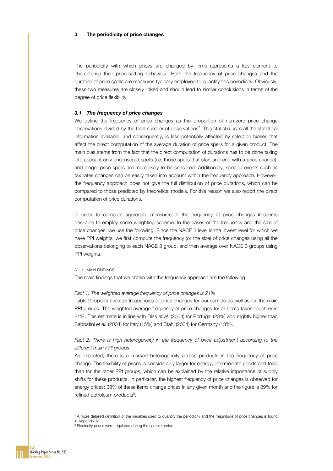#### 3 The periodicity of price changes

The periodicity with which prices are changed by firms represents a key element to characterise their price-setting behaviour. Both the frequency of price changes and the duration of price spells are measures typically employed to quantify this periodicity. Obviously, these two measures are closely linked and should lead to similar conclusions in terms of the degree of price flexibility.

#### *3.1 The frequency of price changes*

We define the frequency of price changes as the proportion of non-zero price change observations divided by the total number of observations7. This statistic uses all the statistical information available, and consequently, is less potentially affected by selection biases that affect the direct computation of the average duration of price spells for a given product. The main bias stems from the fact that the direct computation of durations has to be done taking into account only uncensored spells (i.e. those spells that start and end with a price change), and longer price spells are more likely to be censored. Additionally, specific events such as tax rates changes can be easily taken into account within the frequency approach. However, the frequency approach does not give the full distribution of price durations, which can be compared to those predicted by theoretical models. For this reason we also report the direct computation of price durations.

In order to compute aggregate measures of the frequency of price changes it seems desirable to employ some weighting scheme. In the cases of the frequency and the size of price changes, we use the following. Since the NACE 3 level is the lowest level for which we have PPI weights, we first compute the frequency (or the size) of price changes using all the observations belonging to each NACE 3 group, and then average over NACE 3 groups using PPI weights.

#### 3.1.1 MAIN FINDINGS

The main findings that we obtain with the frequency approach are the following:

#### *Fact 1: The weighted average frequency of price changes is 21%*

Table 2 reports average frequencies of price changes for our sample as well as for the main PPI groups. The weighted average frequency of price changes for all items taken together is 21%. This estimate is in line with Dias *et al.* (2004) for Portugal (23%) and slightly higher than Sabbatini *et al.* (2004) for Italy (15%) and Stahl (2004) for Germany (13%).

## Fact 2: There is high heterogeneity in the frequency of price adjustment according to the *different main PPI groups*

As expected, there is a marked heterogeneity across products in the frequency of price change. The flexibility of prices is considerably larger for energy, intermediate goods and food than for the other PPI groups, which can be explained by the relative importance of supply shifts for these products. In particular, the highest frequency of price changes is observed for energy prices: 38% of these items change prices in any given month and the figure is 89% for refined petroleum products<sup>8</sup>.



 7 A more detailed definition of the variables used to quantify the periodicity and the magnitude of price changes is found in Annendix A.

<sup>&</sup>lt;sup>8</sup> Electricity prices were regulated during the sample period.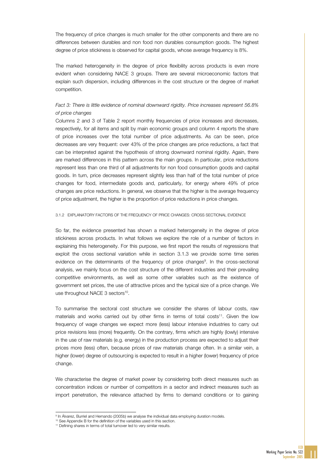The frequency of price changes is much smaller for the other components and there are no differences between durables and non food non durables consumption goods. The highest degree of price stickiness is observed for capital goods, whose average frequency is 8%.

The marked heterogeneity in the degree of price flexibility across products is even more evident when considering NACE 3 groups. There are several microeconomic factors that explain such dispersion, including differences in the cost structure or the degree of market competition.

# *Fact 3: There is little evidence of nominal downward rigidity. Price increases represent 56.8% of price changes*

Columns 2 and 3 of Table 2 report monthly frequencies of price increases and decreases, respectively, for all items and split by main economic groups and column 4 reports the share of price increases over the total number of price adjustments. As can be seen, price decreases are very frequent: over 43% of the price changes are price reductions, a fact that can be interpreted against the hypothesis of strong downward nominal rigidity. Again, there are marked differences in this pattern across the main groups. In particular, price reductions represent less than one third of all adjustments for non food consumption goods and capital goods. In turn, price decreases represent slightly less than half of the total number of price changes for food, intermediate goods and, particularly, for energy where 49% of price changes are price reductions. In general, we observe that the higher is the average frequency of price adjustment, the higher is the proportion of price reductions in price changes.

#### 3.1.2 EXPLANATORY FACTORS OF THE FREQUENCY OF PRICE CHANGES: CROSS SECTIONAL EVIDENCE

So far, the evidence presented has shown a marked heterogeneity in the degree of price stickiness across products. In what follows we explore the role of a number of factors in explaining this heterogeneity. For this purpose, we first report the results of regressions that exploit the cross sectional variation while in section 3.1.3 we provide some time series evidence on the determinants of the frequency of price changes<sup>9</sup>. In the cross-sectional analysis, we mainly focus on the cost structure of the different industries and their prevailing competitive environments, as well as some other variables such as the existence of government set prices, the use of attractive prices and the typical size of a price change. We use throughout NACE 3 sectors<sup>10</sup>.

To summarise the sectoral cost structure we consider the shares of labour costs, raw materials and works carried out by other firms in terms of total costs<sup>11</sup>. Given the low frequency of wage changes we expect more (less) labour intensive industries to carry out price revisions less (more) frequently. On the contrary, firms which are highly (lowly) intensive in the use of raw materials (e.g. energy) in the production process are expected to adjust their prices more (less) often, because prices of raw materials change often. In a similar vein, a higher (lower) degree of outsourcing is expected to result in a higher (lower) frequency of price change.

We characterise the degree of market power by considering both direct measures such as concentration indices or number of competitors in a sector and indirect measures such as import penetration, the relevance attached by firms to demand conditions or to gaining

e<br><sup>9</sup> In Álvarez, Burriel and Hernando (2005b) we analyse the individual data employing duration models.<br><sup>10</sup> See Appendix B for the definition of the variables used in this section.

<sup>&</sup>lt;sup>11</sup> Defining shares in terms of total turnover led to very similar results.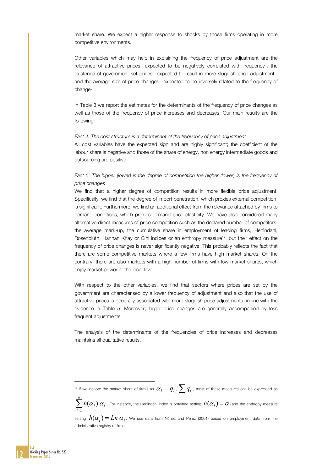market share. We expect a higher response to shocks by those firms operating in more competitive environments.

Other variables which may help in explaining the frequency of price adjustment are the relevance of attractive prices -expected to be negatively correlated with frequency-, the existence of government set prices –expected to result in more sluggish price adjustment-, and the average size of price changes –expected to be inversely related to the frequency of change-.

In Table 3 we report the estimates for the determinants of the frequency of price changes as well as those of the frequency of price increases and decreases. Our main results are the following:

Fact 4: The cost structure is a determinant of the frequency of price adjustment All cost variables have the expected sign and are highly significant; the coefficient of the labour share is negative and those of the share of energy, non energy intermediate goods and outsourcing are positive.

## Fact 5: The higher (lower) is the degree of competition the higher (lower) is the frequency of *price changes*

We find that a higher degree of competition results in more flexible price adjustment. Specifically, we find that the degree of import penetration, which proxies external competition, is significant. Furthermore, we find an additional effect from the relevance attached by firms to demand conditions, which proxies demand price elasticity. We have also considered many alternative direct measures of price competition such as the declared number of competitors, the average mark-up, the cumulative share in employment of leading firms, Herfindahl, Rosenbluth, Hannan Khay or Gini indices or an enthropy measure<sup>12</sup>, but their effect on the frequency of price changes is never significantly negative. This probably reflects the fact that there are some competitive markets where a few firms have high market shares. On the contrary, there are also markets with a high number of firms with low market shares, which enjoy market power at the local level.

With respect to the other variables, we find that sectors where prices are set by the government are characterised by a lower frequency of adjustment and also that the use of attractive prices is generally associated with more sluggish price adjustments, in line with the evidence in Table 5. Moreover, larger price changes are generally accompanied by less frequent adjustments.

The analysis of the determinants of the frequencies of price increases and decreases maintains all qualitative results.

<sup>12</sup> If we denote the market share of firm i as  $\alpha_i = q_i / \sum q_i$  , most of these measures can be expressed as

 $\sum_{i=1}^n$ *i*  $h(\alpha_i)$   $\alpha_i$  . For instance, the Herfindahl index is obtained setting  $h(\alpha_i)=\alpha_i$  and the enthropy measure 1

I



setting  $h(\alpha_i)=Ln\ \alpha_i$ . We use data from Núñez and Pérez (2001) based on employment data from the administrative registry of firms.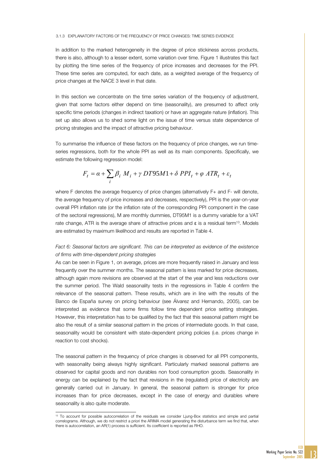#### 3.1.3 EXPLANATORY FACTORS OF THE FREQUENCY OF PRICE CHANGES: TIME SERIES EVIDENCE

In addition to the marked heterogeneity in the degree of price stickiness across products, there is also, although to a lesser extent, some variation over time. Figure 1 illustrates this fact by plotting the time series of the frequency of price increases and decreases for the PPI. These time series are computed, for each date, as a weighted average of the frequency of price changes at the NACE 3 level in that date.

In this section we concentrate on the time series variation of the frequency of adjustment, given that some factors either depend on time (seasonality), are presumed to affect only specific time periods (changes in indirect taxation) or have an aggregate nature (inflation). This set up also allows us to shed some light on the issue of time versus state dependence of pricing strategies and the impact of attractive pricing behaviour.

To summarise the influence of these factors on the frequency of price changes, we run timeseries regressions, both for the whole PPI as well as its main components. Specifically, we estimate the following regression model:

$$
F_t = \alpha + \sum_i \beta_i M_i + \gamma \ DTS5M1 + \delta \ PPI_t + \varphi \ ATR_t + \varepsilon_t
$$

where F denotes the average frequency of price changes (alternatively F+ and F- will denote, the average frequency of price increases and decreases, respectively), PPI is the year-on-year overall PPI inflation rate (or the inflation rate of the corresponding PPI component in the case of the sectoral regressions), M are monthly dummies, DT95M1 is a dummy variable for a VAT rate change, ATR is the average share of attractive prices and ε is a residual term<sup>13</sup>. Models are estimated by maximum likelihood and results are reported in Table 4.

## *Fact 6: Seasonal factors are significant. This can be interpreted as evidence of the existence of firms with time-dependent pricing strategies*

As can be seen in Figure 1, on average, prices are more frequently raised in January and less frequently over the summer months. The seasonal pattern is less marked for price decreases, although again more revisions are observed at the start of the year and less reductions over the summer period. The Wald seasonality tests in the regressions in Table 4 confirm the relevance of the seasonal pattern. These results, which are in line with the results of the Banco de España survey on pricing behaviour (see Álvarez and Hernando, 2005), can be interpreted as evidence that some firms follow time dependent price setting strategies. However, this interpretation has to be qualified by the fact that this seasonal pattern might be also the result of a similar seasonal pattern in the prices of intermediate goods. In that case, seasonality would be consistent with state-dependent pricing policies (i.e. prices change in reaction to cost shocks).

The seasonal pattern in the frequency of price changes is observed for all PPI components, with seasonality being always highly significant. Particularly marked seasonal patterns are observed for capital goods and non durables non food consumption goods. Seasonality in energy can be explained by the fact that revisions in the (regulated) price of electricity are generally carried out in January. In general, the seasonal pattern is stronger for price increases than for price decreases, except in the case of energy and durables where seasonality is also quite moderate.

j

<sup>&</sup>lt;sup>13</sup> To account for possible autocorrelation of the residuals we consider Ljung-Box statistics and simple and partial correlograms. Although, we do not restrict a priori the ARIMA model generating the disturbance term we find that, when there is autocorrelation, an AR(1) process is sufficient. Its coefficient is reported as RHO.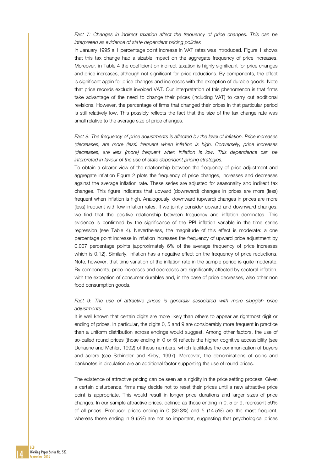## Fact 7: Changes in indirect taxation affect the frequency of price changes. This can be *interpreted as evidence of state dependent pricing policies*

In January 1995 a 1 percentage point increase in VAT rates was introduced. Figure 1 shows that this tax change had a sizable impact on the aggregate frequency of price increases. Moreover, in Table 4 the coefficient on indirect taxation is highly significant for price changes and price increases, although not significant for price reductions. By components, the effect is significant again for price changes and increases with the exception of durable goods. Note that price records exclude invoiced VAT. Our interpretation of this phenomenon is that firms take advantage of the need to change their prices (including VAT) to carry out additional revisions. However, the percentage of firms that changed their prices in that particular period is still relatively low. This possibly reflects the fact that the size of the tax change rate was small relative to the average size of price changes.

*Fact 8: The frequency of price adjustments is affected by the level of inflation. Price increases (decreases) are more (less) frequent when inflation is high. Conversely, price increases (decreases) are less (more) frequent when inflation is low. This dependence can be interpreted in favour of the use of state dependent pricing strategies.* 

To obtain a clearer view of the relationship between the frequency of price adjustment and aggregate inflation Figure 2 plots the frequency of price changes, increases and decreases against the average inflation rate. These series are adjusted for seasonality and indirect tax changes. This figure indicates that upward (downward) changes in prices are more (less) frequent when inflation is high. Analogously, downward (upward) changes in prices are more (less) frequent with low inflation rates. If we jointly consider upward and downward changes, we find that the positive relationship between frequency and inflation dominates. This evidence is confirmed by the significance of the PPI inflation variable in the time series regression (see Table 4). Nevertheless, the magnitude of this effect is moderate: a one percentage point increase in inflation increases the frequency of upward price adjustment by 0.007 percentage points (approximately 6% of the average frequency of price increases which is 0.12). Similarly, inflation has a negative effect on the frequency of price reductions. Note, however, that time variation of the inflation rate in the sample period is quite moderate. By components, price increases and decreases are significantly affected by sectoral inflation, with the exception of consumer durables and, in the case of price decreases, also other non food consumption goods.

#### Fact 9: The use of attractive prices is generally associated with more sluggish price *adjustments.*

It is well known that certain digits are more likely than others to appear as rightmost digit or ending of prices. In particular, the digits 0, 5 and 9 are considerably more frequent in practice than a uniform distribution across endings would suggest. Among other factors, the use of so-called round prices (those ending in 0 or 5) reflects the higher cognitive accessibility (see Dehaene and Mehler, 1992) of these numbers, which facilitates the communication of buyers and sellers (see Schindler and Kirby, 1997). Moreover, the denominations of coins and banknotes in circulation are an additional factor supporting the use of round prices.

The existence of attractive pricing can be seen as a rigidity in the price setting process. Given a certain disturbance, firms may decide not to reset their prices until a new attractive price point is appropriate. This would result in longer price durations and larger sizes of price changes. In our sample attractive prices, defined as those ending in 0, 5 or 9, represent 59% of all prices. Producer prices ending in 0 (39.3%) and 5 (14.5%) are the most frequent, whereas those ending in 9 (5%) are not so important, suggesting that psychological prices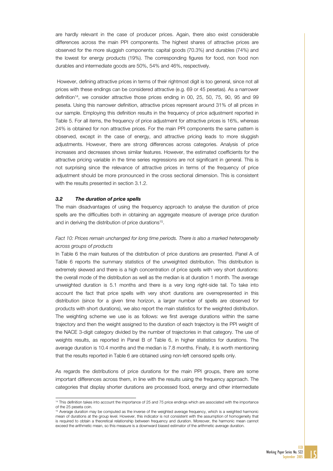are hardly relevant in the case of producer prices. Again, there also exist considerable differences across the main PPI components. The highest shares of attractive prices are observed for the more sluggish components: capital goods (70.3%) and durables (74%) and the lowest for energy products (19%). The corresponding figures for food, non food non durables and intermediate goods are 50%, 54% and 46%, respectively.

 However, defining attractive prices in terms of their rightmost digit is too general, since not all prices with these endings can be considered attractive (e.g. 69 or 45 pesetas). As a narrower definition14, we consider attractive those prices ending in 00, 25, 50, 75, 90, 95 and 99 peseta. Using this narrower definition, attractive prices represent around 31% of all prices in our sample. Employing this definition results in the frequency of price adjustment reported in Table 5. For all items, the frequency of price adjustment for attractive prices is 16%, whereas 24% is obtained for non attractive prices. For the main PPI components the same pattern is observed, except in the case of energy, and attractive pricing leads to more sluggish adjustments. However, there are strong differences across categories. Analysis of price increases and decreases shows similar features. However, the estimated coefficients for the attractive pricing variable in the time series regressions are not significant in general. This is not surprising since the relevance of attractive prices in terms of the frequency of price adjustment should be more pronounced in the cross sectional dimension. This is consistent with the results presented in section 3.1.2.

#### *3.2 The duration of price spells*

I

The main disadvantages of using the frequency approach to analyse the duration of price spells are the difficulties both in obtaining an aggregate measure of average price duration and in deriving the distribution of price durations<sup>15</sup>.

## Fact 10: Prices remain unchanged for long time periods. There is also a marked heterogeneity *across groups of products*

In Table 6 the main features of the distribution of price durations are presented. Panel A of Table 6 reports the summary statistics of the unweighted distribution. This distribution is extremely skewed and there is a high concentration of price spells with very short durations: the overall mode of the distribution as well as the median is at duration 1 month. The average unweighted duration is 5.1 months and there is a very long right-side tail. To take into account the fact that price spells with very short durations are overrepresented in this distribution (since for a given time horizon, a larger number of spells are observed for products with short durations), we also report the main statistics for the weighted distribution. The weighting scheme we use is as follows: we first average durations within the same trajectory and then the weight assigned to the duration of each trajectory is the PPI weight of the NACE 3-digit category divided by the number of trajectories in that category. The use of weights results, as reported in Panel B of Table 6, in higher statistics for durations. The average duration is 10.4 months and the median is 7.8 months. Finally, it is worth mentioning that the results reported in Table 6 are obtained using non-left censored spells only.

As regards the distributions of price durations for the main PPI groups, there are some important differences across them, in line with the results using the frequency approach. The categories that display shorter durations are processed food, energy and other intermediate

<sup>&</sup>lt;sup>14</sup> This definition takes into account the importance of 25 and 75 price endings which are associated with the importance of the 25 peseta coin.

<sup>15</sup> Average duration may be computed as the inverse of the weighted average frequency, which is a weighted harmonic mean of durations at the group level. However, this indicator is not consistent with the assumption of homogeneity that is required to obtain a theoretical relationship between frequency and duration. Moreover, the harmonic mean cannot exceed the arithmetic mean, so this measure is a downward biased estimator of the arithmetic average duration.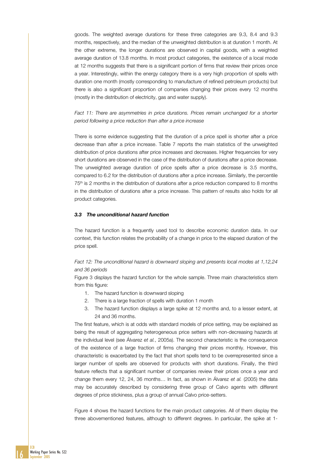goods. The weighted average durations for these three categories are 9.3, 8.4 and 9.3 months, respectively, and the median of the unweighted distribution is at duration 1 month. At the other extreme, the longer durations are observed in capital goods, with a weighted average duration of 13.8 months. In most product categories, the existence of a local mode at 12 months suggests that there is a significant portion of firms that review their prices once a year. Interestingly, within the energy category there is a very high proportion of spells with duration one month (mostly corresponding to manufacture of refined petroleum products) but there is also a significant proportion of companies changing their prices every 12 months (mostly in the distribution of electricity, gas and water supply).

## Fact 11: There are asymmetries in price durations. Prices remain unchanged for a shorter *period following a price reduction than after a price increase*

There is some evidence suggesting that the duration of a price spell is shorter after a price decrease than after a price increase. Table 7 reports the main statistics of the unweighted distribution of price durations after price increases and decreases. Higher frequencies for very short durations are observed in the case of the distribution of durations after a price decrease. The unweighted average duration of price spells after a price decrease is 3.5 months, compared to 6.2 for the distribution of durations after a price increase. Similarly, the percentile  $75<sup>th</sup>$  is 2 months in the distribution of durations after a price reduction compared to 8 months in the distribution of durations after a price increase. This pattern of results also holds for all product categories.

#### *3.3 The unconditional hazard function*

The hazard function is a frequently used tool to describe economic duration data. In our context, this function relates the probability of a change in price to the elapsed duration of the price spell.

# *Fact 12: The unconditional hazard is downward sloping and presents local modes at 1,12,24 and 36 periods*

Figure 3 displays the hazard function for the whole sample. Three main characteristics stem from this figure:

- 1. The hazard function is downward sloping
- 2. There is a large fraction of spells with duration 1 month
- 3. The hazard function displays a large spike at 12 months and, to a lesser extent, at 24 and 36 months.

The first feature, which is at odds with standard models of price setting, may be explained as being the result of aggregating heterogeneous price setters with non-decreasing hazards at the individual level (see Álvarez *et al.*, 2005a). The second characteristic is the consequence of the existence of a large fraction of firms changing their prices monthly. However, this characteristic is exacerbated by the fact that short spells tend to be overrepresented since a larger number of spells are observed for products with short durations. Finally, the third feature reflects that a significant number of companies review their prices once a year and change them every 12, 24, 36 months… In fact, as shown in Álvarez *et al.* (2005) the data may be accurately described by considering three group of Calvo agents with different degrees of price stickiness, plus a group of annual Calvo price-setters.

Figure 4 shows the hazard functions for the main product categories. All of them display the three abovementioned features, although to different degrees. In particular, the spike at 1-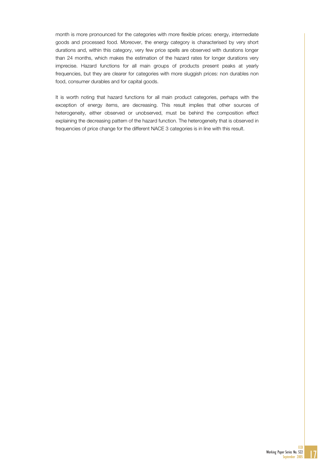month is more pronounced for the categories with more flexible prices: energy, intermediate goods and processed food. Moreover, the energy category is characterised by very short durations and, within this category, very few price spells are observed with durations longer than 24 months, which makes the estimation of the hazard rates for longer durations very imprecise. Hazard functions for all main groups of products present peaks at yearly frequencies, but they are clearer for categories with more sluggish prices: non durables non food, consumer durables and for capital goods.

It is worth noting that hazard functions for all main product categories, perhaps with the exception of energy items, are decreasing. This result implies that other sources of heterogeneity, either observed or unobserved, must be behind the composition effect explaining the decreasing pattern of the hazard function. The heterogeneity that is observed in frequencies of price change for the different NACE 3 categories is in line with this result.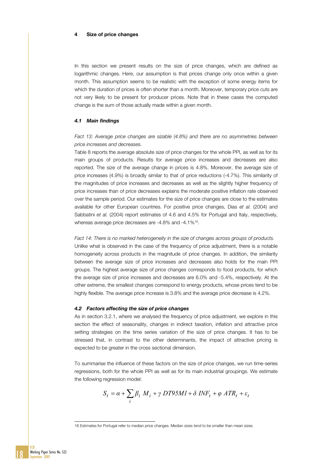#### 4 Size of price changes

In this section we present results on the size of price changes, which are defined as logarithmic changes. Here, our assumption is that prices change only once within a given month. This assumption seems to be realistic with the exception of some energy items for which the duration of prices is often shorter than a month. Moreover, temporary price cuts are not very likely to be present for producer prices. Note that in these cases the computed change is the sum of those actually made within a given month.

#### *4.1 Main findings*

*Fact 13: Average price changes are sizable (4.8%) and there are no asymmetries between price increases and decreases.* 

Table 8 reports the average absolute size of price changes for the whole PPI, as well as for its main groups of products. Results for average price increases and decreases are also reported. The size of the average change in prices is 4.8%. Moreover, the average size of price increases (4.9%) is broadly similar to that of price reductions (-4.7%). This similarity of the magnitudes of price increases and decreases as well as the slightly higher frequency of price increases than of price decreases explains the moderate positive inflation rate observed over the sample period. Our estimates for the size of price changes are close to the estimates available for other European countries. For positive price changes, Dias *et al.* (2004) and Sabbatini *et al.* (2004) report estimates of 4.6 and 4.5% for Portugal and Italy, respectively, whereas average price decreases are -4.8% and -4.1%<sup>16</sup>.

*Fact 14: There is no marked heterogeneity in the size of changes across groups of products.*  Unlike what is observed in the case of the frequency of price adjustment, there is a notable homogeneity across products in the magnitude of price changes. In addition, the similarity between the average size of price increases and decreases also holds for the main PPI groups. The highest average size of price changes corresponds to food products, for which the average size of price increases and decreases are 6.0% and -5.4%, respectively. At the other extreme, the smallest changes correspond to energy products, whose prices tend to be highly flexible. The average price increase is 3.8% and the average price decrease is 4.2%.

#### *4.2 Factors affecting the size of price changes*

As in section 3.2.1, where we analysed the frequency of price adjustment, we explore in this section the effect of seasonality, changes in indirect taxation, inflation and attractive price setting strategies on the time series variation of the size of price changes. It has to be stressed that, in contrast to the other determinants, the impact of attractive pricing is expected to be greater in the cross sectional dimension.

To summarise the influence of these factors on the size of price changes, we run time-series regressions, both for the whole PPI as well as for its main industrial groupings. We estimate the following regression model:

$$
S_t = \alpha + \sum_i \beta_i M_i + \gamma \ D T 95 M I + \delta \ INF_t + \varphi \ ATR_t + \varepsilon_t
$$

18

I

<sup>16</sup> Estimates for Portugal refer to median price changes. Median sizes tend to be smaller than mean sizes.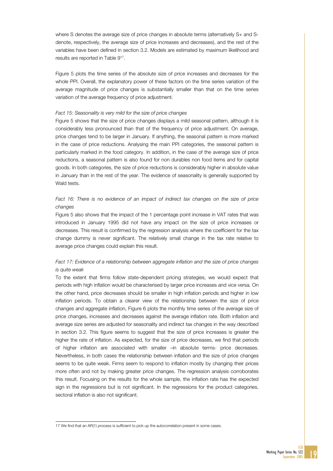where S denotes the average size of price changes in absolute terms (alternatively S+ and Sdenote, respectively, the average size of price increases and decreases), and the rest of the variables have been defined in section 3.2. Models are estimated by maximum likelihood and results are reported in Table 917.

Figure 5 plots the time series of the absolute size of price increases and decreases for the whole PPI. Overall, the explanatory power of these factors on the time series variation of the average magnitude of price changes is substantially smaller than that on the time series variation of the average frequency of price adjustment.

#### *Fact 15: Seasonality is very mild for the size of price changes*

Figure 5 shows that the size of price changes displays a mild seasonal pattern, although it is considerably less pronounced than that of the frequency of price adjustment. On average, price changes tend to be larger in January. If anything, the seasonal pattern is more marked in the case of price reductions. Analysing the main PPI categories, the seasonal pattern is particularly marked in the food category. In addition, in the case of the average size of price reductions, a seasonal pattern is also found for non durables non food items and for capital goods. In both categories, the size of price reductions is considerably higher in absolute value in January than in the rest of the year. The evidence of seasonality is generally supported by Wald tests.

# Fact 16: There is no evidence of an impact of indirect tax changes on the size of price *changes*

Figure 5 also shows that the impact of the 1 percentage point increase in VAT rates that was introduced in January 1995 did not have any impact on the size of price increases or decreases. This result is confirmed by the regression analysis where the coefficient for the tax change dummy is never significant. The relatively small change in the tax rate relative to average price changes could explain this result.

# *Fact 17: Evidence of a relationship between aggregate inflation and the size of price changes is quite weak*

To the extent that firms follow state-dependent pricing strategies, we would expect that periods with high inflation would be characterised by larger price increases and vice versa*.* On the other hand, price decreases should be smaller in high inflation periods and higher in low inflation periods. To obtain a clearer view of the relationship between the size of price changes and aggregate inflation, Figure 6 plots the monthly time series of the average size of price changes, increases and decreases against the average inflation rate. Both inflation and average size series are adjusted for seasonality and indirect tax changes in the way described in section 3.2. This figure seems to suggest that the size of price increases is greater the higher the rate of inflation. As expected, for the size of price decreases, we find that periods of higher inflation are associated with smaller –in absolute terms- price decreases. Nevertheless, in both cases the relationship between inflation and the size of price changes seems to be quite weak. Firms seem to respond to inflation mostly by changing their prices more often and not by making greater price changes. The regression analysis corroborates this result. Focusing on the results for the whole sample, the inflation rate has the expected sign in the regressions but is not significant. In the regressions for the product categories, sectoral inflation is also not significant.

I

<sup>17</sup> We find that an AR(1) process is sufficient to pick up the autocorrelation present in some cases.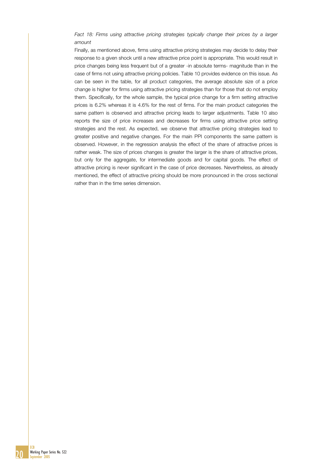## Fact 18: Firms using attractive pricing strategies typically change their prices by a larger *amount*

Finally, as mentioned above, firms using attractive pricing strategies may decide to delay their response to a given shock until a new attractive price point is appropriate. This would result in price changes being less frequent but of a greater -in absolute terms- magnitude than in the case of firms not using attractive pricing policies. Table 10 provides evidence on this issue. As can be seen in the table, for all product categories, the average absolute size of a price change is higher for firms using attractive pricing strategies than for those that do not employ them. Specifically, for the whole sample, the typical price change for a firm setting attractive prices is 6.2% whereas it is 4.6% for the rest of firms. For the main product categories the same pattern is observed and attractive pricing leads to larger adjustments. Table 10 also reports the size of price increases and decreases for firms using attractive price setting strategies and the rest. As expected, we observe that attractive pricing strategies lead to greater positive and negative changes. For the main PPI components the same pattern is observed. However, in the regression analysis the effect of the share of attractive prices is rather weak. The size of prices changes is greater the larger is the share of attractive prices, but only for the aggregate, for intermediate goods and for capital goods. The effect of attractive pricing is never significant in the case of price decreases. Nevertheless, as already mentioned, the effect of attractive pricing should be more pronounced in the cross sectional rather than in the time series dimension.



**ECB**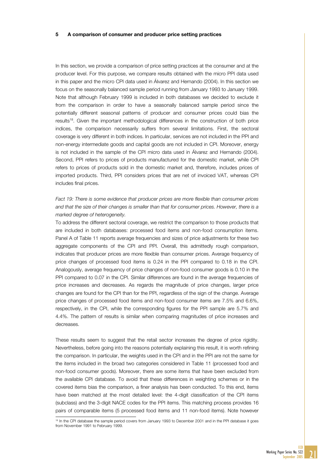#### 5 A comparison of consumer and producer price setting practices

In this section, we provide a comparison of price setting practices at the consumer and at the producer level. For this purpose, we compare results obtained with the micro PPI data used in this paper and the micro CPI data used in Álvarez and Hernando (2004). In this section we focus on the seasonally balanced sample period running from January 1993 to January 1999. Note that although February 1999 is included in both databases we decided to exclude it from the comparison in order to have a seasonally balanced sample period since the potentially different seasonal patterns of producer and consumer prices could bias the results18. Given the important methodological differences in the construction of both price indices, the comparison necessarily suffers from several limitations. First, the sectoral coverage is very different in both indices. In particular, services are not included in the PPI and non-energy intermediate goods and capital goods are not included in CPI. Moreover, energy is not included in the sample of the CPI micro data used in Álvarez and Hernando (2004). Second, PPI refers to prices of products manufactured for the domestic market, while CPI refers to prices of products sold in the domestic market and, therefore, includes prices of imported products. Third, PPI considers prices that are net of invoiced VAT, whereas CPI includes final prices.

# Fact 19: There is some evidence that producer prices are more flexible than consumer prices *and that the size of their changes is smaller than that for consumer prices. However, there is a marked degree of heterogeneity.*

To address the different sectoral coverage, we restrict the comparison to those products that are included in both databases: processed food items and non-food consumption items. Panel A of Table 11 reports average frequencies and sizes of price adjustments for these two aggregate components of the CPI and PPI. Overall, this admittedly rough comparison, indicates that producer prices are more flexible than consumer prices. Average frequency of price changes of processed food items is 0.24 in the PPI compared to 0.18 in the CPI. Analogously, average frequency of price changes of non-food consumer goods is 0.10 in the PPI compared to 0.07 in the CPI. Similar differences are found in the average frequencies of price increases and decreases. As regards the magnitude of price changes, larger price changes are found for the CPI than for the PPI, regardless of the sign of the change. Average price changes of processed food items and non-food consumer items are 7.5% and 6.6%, respectively, in the CPI, while the corresponding figures for the PPI sample are 5.7% and 4.4%. The pattern of results is similar when comparing magnitudes of price increases and decreases.

These results seem to suggest that the retail sector increases the degree of price rigidity. Nevertheless, before going into the reasons potentially explaining this result, it is worth refining the comparison. In particular, the weights used in the CPI and in the PPI are not the same for the items included in the broad two categories considered in Table 11 (processed food and non-food consumer goods). Moreover, there are some items that have been excluded from the available CPI database. To avoid that these differences in weighting schemes or in the covered items bias the comparison, a finer analysis has been conducted. To this end, items have been matched at the most detailed level: the 4-digit classification of the CPI items (subclass) and the 3-digit NACE codes for the PPI items. This matching process provides 16 pairs of comparable items (5 processed food items and 11 non-food items). Note however

I

<sup>&</sup>lt;sup>18</sup> In the CPI database the sample period covers from January 1993 to December 2001 and in the PPI database it goes from November 1991 to February 1999.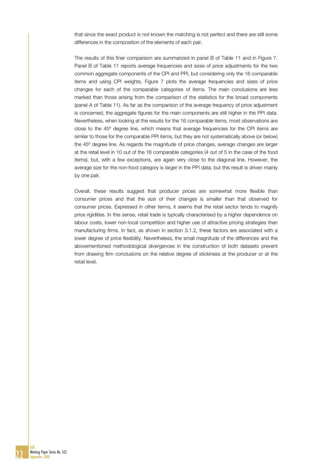that since the exact product is not known the matching is not perfect and there are still some differences in the composition of the elements of each pair.

The results of this finer comparison are summarized in panel B of Table 11 and in Figure 7. Panel B of Table 11 reports average frequencies and sizes of price adjustments for the two common aggregate components of the CPI and PPI, but considering only the 16 comparable items and using CPI weights. Figure 7 plots the average frequencies and sizes of price changes for each of the comparable categories of items. The main conclusions are less marked than those arising from the comparison of the statistics for the broad components (panel A of Table 11). As far as the comparison of the average frequency of price adjustment is concerned, the aggregate figures for the main components are still higher in the PPI data. Nevertheless, when looking at the results for the 16 comparable items, most observations are close to the 45º degree line, which means that average frequencies for the CPI items are similar to those for the comparable PPI items, but they are not systematically above (or below) the 45º degree line. As regards the magnitude of price changes, average changes are larger at the retail level in 10 out of the 16 comparable categories (4 out of 5 in the case of the food items), but, with a few exceptions, are again very close to the diagonal line. However, the average size for the non-food category is larger in the PPI data, but this result is driven mainly by one pair.

Overall, these results suggest that producer prices are somewhat more flexible than consumer prices and that the size of their changes is smaller than that observed for consumer prices. Expressed in other terms, it seems that the retail sector tends to magnify price rigidities. In this sense, retail trade is typically characterised by a higher dependence on labour costs, lower non-local competition and higher use of attractive pricing strategies than manufacturing firms. In fact, as shown in section 3.1.2, these factors are associated with a lower degree of price flexibility. Nevertheless, the small magnitude of the differences and the abovementioned methodological divergences in the construction of both datasets prevent from drawing firm conclusions on the relative degree of stickiness at the producer or at the retail level.

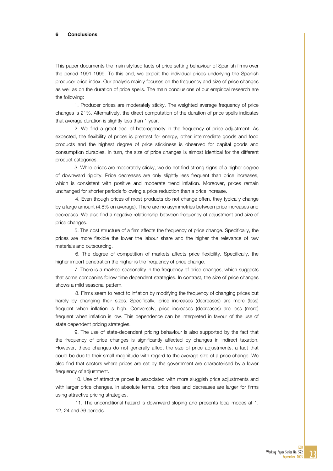#### 6 Conclusions

This paper documents the main stylised facts of price setting behaviour of Spanish firms over the period 1991-1999. To this end, we exploit the individual prices underlying the Spanish producer price index. Our analysis mainly focuses on the frequency and size of price changes as well as on the duration of price spells. The main conclusions of our empirical research are the following:

1. Producer prices are moderately sticky. The weighted average frequency of price changes is 21%. Alternatively, the direct computation of the duration of price spells indicates that average duration is slightly less than 1 year.

2. We find a great deal of heterogeneity in the frequency of price adjustment. As expected, the flexibility of prices is greatest for energy, other intermediate goods and food products and the highest degree of price stickiness is observed for capital goods and consumption durables. In turn, the size of price changes is almost identical for the different product categories.

3. While prices are moderately sticky, we do not find strong signs of a higher degree of downward rigidity. Price decreases are only slightly less frequent than price increases, which is consistent with positive and moderate trend inflation. Moreover, prices remain unchanged for shorter periods following a price reduction than a price increase.

 4. Even though prices of most products do not change often, they typically change by a large amount (4.8% on average). There are no asymmetries between price increases and decreases. We also find a negative relationship between frequency of adjustment and size of price changes.

5. The cost structure of a firm affects the frequency of price change. Specifically, the prices are more flexible the lower the labour share and the higher the relevance of raw materials and outsourcing.

 6. The degree of competition of markets affects price flexibility. Specifically, the higher import penetration the higher is the frequency of price change.

7. There is a marked seasonality in the frequency of price changes, which suggests that some companies follow time dependent strategies. In contrast, the size of price changes shows a mild seasonal pattern.

 8. Firms seem to react to inflation by modifying the frequency of changing prices but hardly by changing their sizes. Specifically, price increases (decreases) are more (less) frequent when inflation is high. Conversely, price increases (decreases) are less (more) frequent when inflation is low. This dependence can be interpreted in favour of the use of state dependent pricing strategies.

9. The use of state-dependent pricing behaviour is also supported by the fact that the frequency of price changes is significantly affected by changes in indirect taxation. However, these changes do not generally affect the size of price adjustments, a fact that could be due to their small magnitude with regard to the average size of a price change. We also find that sectors where prices are set by the government are characterised by a lower frequency of adjustment.

10. Use of attractive prices is associated with more sluggish price adjustments and with larger price changes. In absolute terms, price rises and decreases are larger for firms using attractive pricing strategies.

 11. The unconditional hazard is downward sloping and presents local modes at 1, 12, 24 and 36 periods.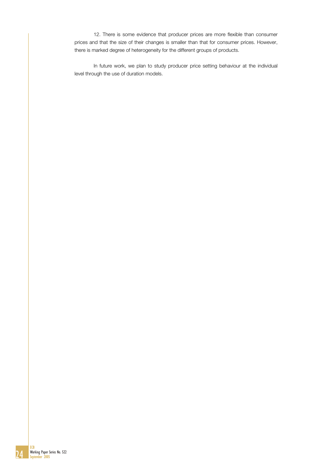12. There is some evidence that producer prices are more flexible than consumer prices and that the size of their changes is smaller than that for consumer prices. However, there is marked degree of heterogeneity for the different groups of products.

In future work, we plan to study producer price setting behaviour at the individual level through the use of duration models.

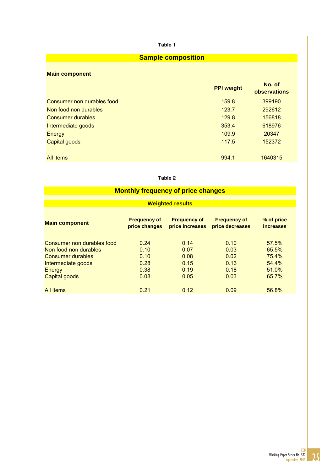# **Sample composition**

# **Main component**

|                            | <b>PPI weight</b> | No. of<br>observations |
|----------------------------|-------------------|------------------------|
| Consumer non durables food | 159.8             | 399190                 |
| Non food non durables      | 123.7             | 292612                 |
| Consumer durables          | 129.8             | 156818                 |
| Intermediate goods         | 353.4             | 618976                 |
| Energy                     | 109.9             | 20347                  |
| Capital goods              | 117.5             | 152372                 |
| All <i>items</i>           | 994.1             | 1640315                |

#### Table 2

| <b>Monthly frequency of price changes</b>  |                                      |                                        |                                        |                                |  |  |  |  |  |  |
|--------------------------------------------|--------------------------------------|----------------------------------------|----------------------------------------|--------------------------------|--|--|--|--|--|--|
| <b>Weighted results</b>                    |                                      |                                        |                                        |                                |  |  |  |  |  |  |
| <b>Main component</b>                      | <b>Frequency of</b><br>price changes | <b>Frequency of</b><br>price increases | <b>Frequency of</b><br>price decreases | % of price<br><b>increases</b> |  |  |  |  |  |  |
| Consumer non durables food                 | 0.24                                 | 0.14                                   | 0.10                                   | 57.5%                          |  |  |  |  |  |  |
| Non food non durables<br>Consumer durables | 0.10<br>0.10                         | 0.07<br>0.08                           | 0.03<br>0.02                           | 65.5%<br>75.4%                 |  |  |  |  |  |  |
| Intermediate goods<br>Energy               | 0.28<br>0.38                         | 0.15<br>0.19                           | 0.13<br>0.18                           | 54.4%<br>51.0%                 |  |  |  |  |  |  |
| Capital goods                              | 0.08                                 | 0.05                                   | 0.03                                   | 65.7%                          |  |  |  |  |  |  |
| All items                                  | 0.21                                 | 0.12                                   | 0.09                                   | 56.8%                          |  |  |  |  |  |  |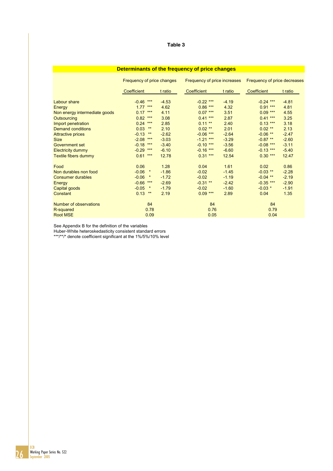### **Determinants of the frequency of price changes**

|                               | Frequency of price changes |         | Frequency of price increases |         | Frequency of price decreases |         |  |
|-------------------------------|----------------------------|---------|------------------------------|---------|------------------------------|---------|--|
|                               | <b>Coefficient</b>         | t ratio | Coefficient                  | t ratio | <b>Coefficient</b>           | t ratio |  |
| Labour share                  | $***$<br>$-0.46$           | $-4.53$ | $-0.22$ ***                  | $-4.19$ | $-0.24$ ***                  | $-4.81$ |  |
| Energy                        | $1.77***$                  | 4.62    | $0.86***$                    | 4.32    | $0.91***$                    | 4.81    |  |
| Non energy intermediate goods | 0.17<br>$***$              | 4.11    | $0.07***$                    | 3.51    | $0.09***$                    | 4.55    |  |
| Outsourcing                   | 0.82<br>$***$              | 3.08    | $0.41***$                    | 2.87    | $0.41***$                    | 3.25    |  |
| Import penetration            | 0.24<br>$***$              | 2.85    | $0.11***$                    | 2.40    | $0.13***$                    | 3.18    |  |
| <b>Demand conditions</b>      | 0.03<br>$\star\star$       | 2.10    | $0.02$ **                    | 2.01    | $0.02$ **                    | 2.13    |  |
| <b>Attractive prices</b>      | $-0.13$<br>$***$           | $-2.62$ | $-0.06$ ***                  | $-2.64$ | $-0.06$ **                   | $-2.47$ |  |
| <b>Size</b>                   | $-2.08$<br>$***$           | $-3.03$ | $-1.21***$                   | $-3.29$ | $-0.87$ **                   | $-2.60$ |  |
| Government set                | $-0.18$<br>$***$           | $-3.40$ | $-0.10***$                   | $-3.56$ | $-0.08$ ***                  | $-3.11$ |  |
| <b>Electricity dummy</b>      | $-0.29$<br>$***$           | $-6.10$ | $-0.16$ ***                  | $-6.60$ | $-0.13$ ***                  | $-5.40$ |  |
| Textile fibers dummy          | $***$<br>0.61              | 12.78   | $0.31***$                    | 12.54   | $0.30***$                    | 12.47   |  |
| Food                          | 0.06                       | 1.28    | 0.04                         | 1.61    | 0.02                         | 0.86    |  |
| Non durables non food         | $-0.06$<br>$\star$         | $-1.86$ | $-0.02$                      | $-1.45$ | $-0.03$ **                   | $-2.28$ |  |
| <b>Consumer durables</b>      | $-0.06$<br>$\star$         | $-1.72$ | $-0.02$                      | $-1.19$ | $-0.04$ **                   | $-2.19$ |  |
| Energy                        | $-0.66$<br>$***$           | $-2.69$ | $-0.31$ **                   | $-2.42$ | $-0.35$ ***                  | $-2.90$ |  |
| Capital goods                 | $\star$<br>$-0.05$         | $-1.79$ | $-0.02$                      | $-1.60$ | $-0.03$ *                    | $-1.91$ |  |
| Constant                      | 0.13<br>$\star\star$       | 2.19    | $0.09***$                    | 2.89    | 0.04                         | 1.35    |  |
| Number of observations        | 84                         |         | 84                           |         | 84                           |         |  |
| R-squared                     | 0.78                       |         | 0.76                         |         | 0.79                         |         |  |
| <b>Root MSE</b>               | 0.09                       |         | 0.05                         |         | 0.04                         |         |  |

See Appendix B for the definition of the variables

Huber-White heteroskedasticity consistent standard errors

\*\*\*/\*\*/\* denote coefficient significant at the 1%/5%/10% level

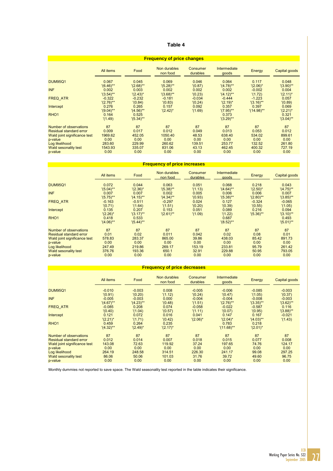| <b>Frequency of price changes</b> |                  |                       |                          |                      |                       |               |                       |  |  |
|-----------------------------------|------------------|-----------------------|--------------------------|----------------------|-----------------------|---------------|-----------------------|--|--|
|                                   | <b>All items</b> | Food                  | Non durables<br>non food | Consumer<br>durables | Intermediate<br>goods | Energy        | Capital goods         |  |  |
| <b>DUM95Q1</b>                    | 0.067            | 0.045                 | 0.069                    | 0.046                | 0.064                 | 0.117         | 0.048                 |  |  |
|                                   | $'(6.46)$ **     | $'(2.68)$ **          | $'(5.28)$ **             | '(0.87)              | $'(4.78)$ **          | $'(2.06)^*$   | $'(3.90)$ **          |  |  |
| <b>INF</b>                        | 0.002            | 0.003                 | 0.002                    | 0.002                | 0.002                 | $-0.002$      | 0.004                 |  |  |
|                                   | $'(3.54)$ **     | $'(2.43)^*$           | $'(3.68)$ **             | '(0.23)              | $'(4.12)$ **          | '(1.72)       | $'(2.11)^*$           |  |  |
| <b>FREQ ATR</b>                   | $-0.322$         | $-0.232$              | $-0.181$                 | $-0.034$             | $-0.444$              | $-1.223$      | 0.057                 |  |  |
|                                   | $'(2.76)$ **     | '(0.84)               | '(0.83)                  | '(0.24)              | $'(2.19)^*$           | $'(3.16)$ **  | '(0.89)               |  |  |
| Intercept                         | 0.276            | 0.265                 | 0.157                    | 0.092                | 0.357                 | 0.397         | 0.069                 |  |  |
|                                   | $'(9.04)$ **     | $'(4.56)$ **          | $'(2.42)^*$              | '(1.69)              | $'(7.95)$ **          | $'(14.98)$ ** | $'(2.21)^*$           |  |  |
| RHO <sub>1</sub>                  | 0.164<br>'(1.49) | 0.525<br>$'(5.34)$ ** |                          |                      | 0.373<br>$'(3.29)$ ** |               | 0.321<br>$'(3.04)$ ** |  |  |
| Number of observations            | 87               | 87                    | 87                       | 87                   | 87                    | 87            | 87                    |  |  |
| Residual standard error           | 0.009            | 0.017                 | 0.012                    | 0.049                | 0.013                 | 0.053         | 0.012                 |  |  |
| Wald joint significance test      | 1969.62          | 452.05                | 1050.40                  | 48.53                | 638.40                | 534.02        | 899.61                |  |  |
| p-value                           | 0.00             | 0.00                  | 0.00                     | 0.00                 | 0.00                  | 0.00          | 0.00                  |  |  |
| Log likelihood                    | 283.60           | 229.99                | 260.62                   | 139.51               | 253.77                | 132.52        | 261.80                |  |  |
| Wald sesonality test              | 1543.93          | 335.07                | 831.06                   | 43.13                | 462.45                | 400.32        | 727.19                |  |  |
| p-value                           | 0.00             | 0.00                  | 0.00                     | 0.00                 | 0.00                  | 0.00          | 0.00                  |  |  |

## **Frequency of price increases**

|                              | <b>All items</b>      | Food                  | Non durables<br>non food | <b>Consumer</b><br>durables | <b>Intermediate</b><br>goods | Energy       | Capital goods         |
|------------------------------|-----------------------|-----------------------|--------------------------|-----------------------------|------------------------------|--------------|-----------------------|
| <b>DUM95Q1</b>               | 0.072                 | 0.044                 | 0.063                    | 0.051                       | 0.068                        | 0.218        | 0.043                 |
|                              | $'(5.04)$ **          | $'(2.36)^*$           | $'(5.38)$ **             | '(1.13)                     | $'(4.64)$ **                 | $'(2.50)^*$  | $'(4.75)$ **          |
| <b>INF</b>                   | 0.007                 | 0.007                 | 0.002                    | 0.005                       | 0.006                        | 0.006        | 0.007                 |
|                              | $'(5.75)$ **          | $'(4.15)$ **          | $'(4.34)$ **             | '(0.93)                     | $'(5.38)$ **                 | $'(2.80)$ ** | $'(3.85)$ **          |
| <b>FREQ ATR</b>              | $-0.163$              | $-0.511$              | $-0.297$                 | 0.024                       | 0.127                        | $-0.324$     | $-0.065$              |
|                              | '(0.71)               | '(1.64)               | '(1.51)                  | '(0.20)                     | '(0.39)                      | '(0.55)      | '(1.05)               |
| Intercept                    | 0.135                 | 0.207                 | 0.153                    | 0.051                       | 0.089                        | 0.216        | 0.094                 |
|                              | $'(2.26)^*$           | $'(3.17)$ **          | $'(2.61)$ **             | '(1.09)                     | '(1.22)                      | $'(5.36)$ ** | $'(3.10)$ **          |
| RHO <sub>1</sub>             | 0.418<br>$'(4.06)$ ** | 0.533<br>$'(5.44)$ ** |                          |                             | 0.687<br>$'(8.52)$ **        |              | 0.493<br>$'(5.01)$ ** |
| Number of observations       | 87                    | 87                    | 87                       | 87                          | 87                           | 87           | 87                    |
| Residual standard error      | 0.01                  | 0.02                  | 0.011                    | 0.042                       | 0.02                         | 0.08         | 0.01                  |
| Wald joint significance test | 578.83                | 283.37                | 865.00                   | 39.86                       | 438.03                       | 85.42        | 891.73                |
| p-value                      | 0.00                  | 0.00                  | 0.00                     | 0.00                        | 0.00                         | 0.00         | 0.00                  |
| Log likelihood               | 247.49                | 219.86                | 269.17                   | 153.19                      | 233.81                       | 95.79        | 261.42                |
| Wald sesonality test         | 376.76                | 193.36                | 650.1                    | 32.91                       | 229.88                       | 50.95        | 793.05                |
| p-value                      | 0.00                  | 0.00                  | 0.00                     | 0.00                        | 0.00                         | 0.00         | 0.00                  |

### **Frequency of price decreases**

|                                | All items    | Food         | Non durables<br>non food | Consumer<br>durables | Intermediate<br>goods | Energy       | Capital goods |
|--------------------------------|--------------|--------------|--------------------------|----------------------|-----------------------|--------------|---------------|
| <b>DUM95Q1</b>                 | $-0.010$     | $-0.003$     | 0.008                    | $-0.005$             | $-0.006$              | $-0.085$     | $-0.003$      |
|                                | '(0.91)      | '(0.20)      | '(1.12)                  | '(0.24)              | '(0.47)               | '(1.05)      | '(0.37)       |
| <b>INF</b>                     | $-0.005$     | $-0.003$     | 0.000                    | $-0.004$             | $-0.004$              | $-0.008$     | $-0.003$      |
|                                | $'(4.67)$ ** | $'(4.23)$ ** | '(0.48)                  | '(1.51)              | $'(2.76)$ **          | $'(3.35)$ ** | $'(3.62)$ **  |
| <b>FREQ ATR</b>                | $-0.085$     | 0.208        | 0.074                    | $-0.058$             | $-0.022$              | $-0.587$     | 0.116         |
|                                | '(0.40)      | '(1.04)      | '(0.57)                  | (1.11)               | '(0.07)               | '(0.95)      | $'(3.88)$ **  |
| Intercept                      | 0.121        | 0.072        | 0.016                    | 0.041                | 0.147                 | 0.167        | $-0.021$      |
|                                | $'(2.21)^*$  | '(1.71)      | '(0.42)                  | $'(2.06)^*$          | $'(2.04)^*$           | $'(4.03)$ ** | '(1.43)       |
| RHO <sub>1</sub>               | 0.459        | 0.264        | 0.235                    |                      | 0.783                 | 0.218        |               |
|                                | $'(4.32)$ ** | $'(2.49)^*$  | $'(2.17)^*$              |                      | $'(11.68)$ **         | $'(2.01)^*$  |               |
| Number of observations         | 87           | 87           | 87                       | 87                   | 87                    | 87           | 87            |
| <b>Residual standard error</b> | 0.012        | 0.014        | 0.007                    | 0.018                | 0.015                 | 0.077        | 0.008         |
| Wald joint significance test   | 143.08       | 72.63        | 119.92                   | 37.24                | 197.65                | 74.76        | 124.17        |
| p-value                        | 0.00         | 0.00         | 0.00                     | 0.00                 | 0.00                  | 0.00         | 0.00          |
| Log likelihood                 | 264.19       | 248.58       | 314.51                   | 226.30               | 241.17                | 99.08        | 297.25        |
| Wald sesonality test           | 86.06        | 50.06        | 101.03                   | 31.76                | 39.72                 | 49.60        | 96.75         |
| p-value                        | 0.00         | 0.00         | 0.00                     | 0.00                 | 0.00                  | 0.00         | 0.00          |

Monthly dummies not reported to save space. The Wald seasonality test reported in the table indicates their significance.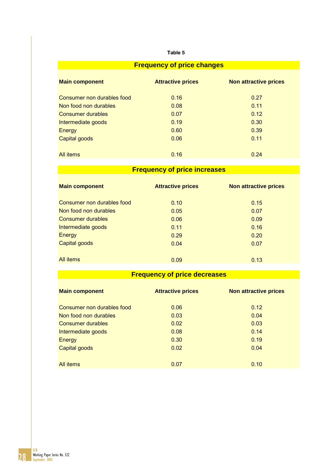| <b>Frequency of price changes</b> |                          |                              |  |  |  |  |  |  |  |
|-----------------------------------|--------------------------|------------------------------|--|--|--|--|--|--|--|
| <b>Main component</b>             | <b>Attractive prices</b> | <b>Non attractive prices</b> |  |  |  |  |  |  |  |
| Consumer non durables food        | 0.16                     | 0.27                         |  |  |  |  |  |  |  |
| Non food non durables             | 0.08                     | 0.11                         |  |  |  |  |  |  |  |
| <b>Consumer durables</b>          | 0.07                     | 0.12                         |  |  |  |  |  |  |  |
| Intermediate goods                | 0.19                     | 0.30                         |  |  |  |  |  |  |  |
| Energy                            | 0.60                     | 0.39                         |  |  |  |  |  |  |  |
| Capital goods                     | 0.06                     | 0.11                         |  |  |  |  |  |  |  |
|                                   |                          |                              |  |  |  |  |  |  |  |
| All <i>items</i>                  | 0.16                     | 0.24                         |  |  |  |  |  |  |  |

# **Frequency of price increases**

| <b>Main component</b>      | <b>Attractive prices</b> | <b>Non attractive prices</b> |
|----------------------------|--------------------------|------------------------------|
| Consumer non durables food | 0.10                     | 0.15                         |
| Non food non durables      | 0.05                     | 0.07                         |
| <b>Consumer durables</b>   | 0.06                     | 0.09                         |
| Intermediate goods         | 0.11                     | 0.16                         |
| Energy                     | 0.29                     | 0.20                         |
| Capital goods              | 0.04                     | 0.07                         |
| All <i>items</i>           | 0.09                     | 0.13                         |

# **Frequency of price decreases**

| <b>Main component</b>      | <b>Attractive prices</b> | <b>Non attractive prices</b> |
|----------------------------|--------------------------|------------------------------|
| Consumer non durables food | 0.06                     | 0.12                         |
| Non food non durables      | 0.03                     | 0.04                         |
| Consumer durables          | 0.02                     | 0.03                         |
| Intermediate goods         | 0.08                     | 0.14                         |
| Energy                     | 0.30                     | 0.19                         |
| <b>Capital goods</b>       | 0.02                     | 0.04                         |
| All items                  | 0.07                     | 0.10                         |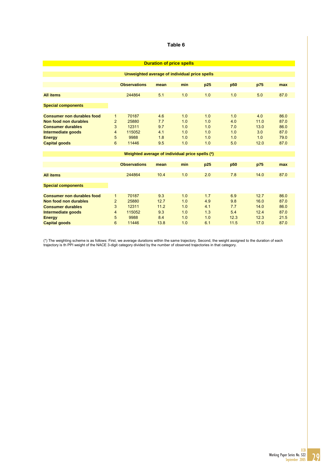| <b>Duration of price spells</b>               |                |                                                 |      |     |     |                 |      |      |  |
|-----------------------------------------------|----------------|-------------------------------------------------|------|-----|-----|-----------------|------|------|--|
| Unweighted average of individual price spells |                |                                                 |      |     |     |                 |      |      |  |
|                                               |                |                                                 |      |     |     |                 |      |      |  |
|                                               |                | <b>Observations</b>                             | mean | min | p25 | p <sub>50</sub> | p75  | max  |  |
|                                               |                |                                                 |      |     |     |                 |      |      |  |
| <b>All items</b>                              |                | 244864                                          | 5.1  | 1.0 | 1.0 | 1.0             | 5.0  | 87.0 |  |
| <b>Special components</b>                     |                |                                                 |      |     |     |                 |      |      |  |
|                                               |                |                                                 |      |     |     |                 |      |      |  |
| <b>Consumer non durables food</b>             | $\mathbf{1}$   | 70187                                           | 4.6  | 1.0 | 1.0 | 1.0             | 4.0  | 86.0 |  |
| Non food non durables                         | $\overline{2}$ | 25880                                           | 7.7  | 1.0 | 1.0 | 4.0             | 11.0 | 87.0 |  |
| <b>Consumer durables</b>                      | 3              | 12311                                           | 9.7  | 1.0 | 1.0 | 7.0             | 13.0 | 86.0 |  |
| Intermediate goods                            | 4              | 115052                                          | 4.1  | 1.0 | 1.0 | 1.0             | 3.0  | 87.0 |  |
| <b>Energy</b>                                 | 5              | 9988                                            | 1.8  | 1.0 | 1.0 | 1.0             | 1.0  | 79.0 |  |
| <b>Capital goods</b>                          | 6              | 11446                                           | 9.5  | 1.0 | 1.0 | 5.0             | 12.0 | 87.0 |  |
|                                               |                |                                                 |      |     |     |                 |      |      |  |
|                                               |                | Weighted average of individual price spells (*) |      |     |     |                 |      |      |  |
|                                               |                | <b>Observations</b>                             | mean | min | p25 | p <sub>50</sub> | p75  | max  |  |
|                                               |                |                                                 |      |     |     |                 |      |      |  |
| <b>All items</b>                              |                | 244864                                          | 10.4 | 1.0 | 2.0 | 7.8             | 14.0 | 87.0 |  |
| <b>Special components</b>                     |                |                                                 |      |     |     |                 |      |      |  |
|                                               |                |                                                 |      |     |     |                 |      |      |  |
| <b>Consumer non durables food</b>             | 1              | 70187                                           | 9.3  | 1.0 | 1.7 | 6.9             | 12.7 | 86.0 |  |
| Non food non durables                         | $\overline{2}$ | 25880                                           | 12.7 | 1.0 | 4.9 | 9.8             | 16.0 | 87.0 |  |
| <b>Consumer durables</b>                      | 3              | 12311                                           | 11.2 | 1.0 | 4.1 | 7.7             | 14.0 | 86.0 |  |
| Intermediate goods                            | 4              | 115052                                          | 9.3  | 1.0 | 1.3 | 5.4             | 12.4 | 87.0 |  |
| <b>Energy</b>                                 | 5              | 9988                                            | 8.4  | 1.0 | 1.0 | 12.3            | 12.3 | 21.5 |  |
| <b>Capital goods</b>                          | 6              | 11446                                           | 13.8 | 1.0 | 6.1 | 11.5            | 17.0 | 87.0 |  |

(\*) The weighting scheme is as follows: First, we average durations within the same trajectory. Second, the weight assigned to the duration of each trajectory is th PPI weight of the NACE 3-digit category divided by the number of observed trajectories in that category.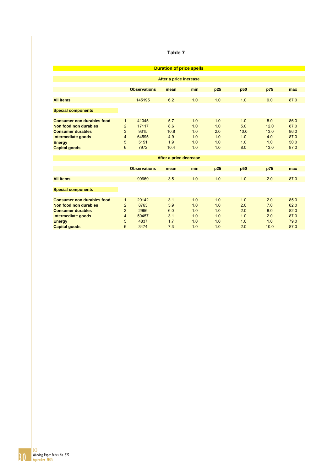| <b>Duration of price spells</b>   |                |                     |                        |     |     |      |      |      |  |  |
|-----------------------------------|----------------|---------------------|------------------------|-----|-----|------|------|------|--|--|
|                                   |                |                     |                        |     |     |      |      |      |  |  |
| After a price increase            |                |                     |                        |     |     |      |      |      |  |  |
|                                   |                |                     |                        |     |     |      |      |      |  |  |
|                                   |                | <b>Observations</b> | mean                   | min | p25 | p50  | p75  | max  |  |  |
| <b>All items</b>                  |                | 145195              | 6.2                    | 1.0 | 1.0 | 1.0  | 9.0  | 87.0 |  |  |
|                                   |                |                     |                        |     |     |      |      |      |  |  |
| <b>Special components</b>         |                |                     |                        |     |     |      |      |      |  |  |
|                                   |                |                     |                        |     |     |      |      |      |  |  |
| <b>Consumer non durables food</b> | 1              | 41045               | 5.7                    | 1.0 | 1.0 | 1.0  | 8.0  | 86.0 |  |  |
| Non food non durables             | $\overline{2}$ | 17117               | 8.6                    | 1.0 | 1.0 | 5.0  | 12.0 | 87.0 |  |  |
| <b>Consumer durables</b>          | 3              | 9315                | 10.8                   | 1.0 | 2.0 | 10.0 | 13.0 | 86.0 |  |  |
| Intermediate goods                | $\overline{4}$ | 64595               | 4.9                    | 1.0 | 1.0 | 1.0  | 4.0  | 87.0 |  |  |
| <b>Energy</b>                     | 5              | 5151                | 1.9                    | 1.0 | 1.0 | 1.0  | 1.0  | 50.0 |  |  |
| <b>Capital goods</b>              | 6              | 7972                | 10.4                   | 1.0 | 1.0 | 8.0  | 13.0 | 87.0 |  |  |
|                                   |                |                     |                        |     |     |      |      |      |  |  |
|                                   |                |                     | After a price decrease |     |     |      |      |      |  |  |
|                                   |                |                     |                        |     |     |      |      |      |  |  |
|                                   |                | <b>Observations</b> | mean                   | min | p25 | p50  | p75  | max  |  |  |
| <b>All items</b>                  |                | 99669               | 3.5                    | 1.0 | 1.0 | 1.0  | 2.0  | 87.0 |  |  |
|                                   |                |                     |                        |     |     |      |      |      |  |  |
| <b>Special components</b>         |                |                     |                        |     |     |      |      |      |  |  |
|                                   |                |                     |                        |     |     |      |      |      |  |  |
| <b>Consumer non durables food</b> | $\mathbf{1}$   | 29142               | 3.1                    | 1.0 | 1.0 | 1.0  | 2.0  | 85.0 |  |  |
| Non food non durables             | 2              | 8763                | 5.9                    | 1.0 | 1.0 | 2.0  | 7.0  | 82.0 |  |  |
| <b>Consumer durables</b>          | 3              | 2996                | 6.0                    | 1.0 | 1.0 | 2.0  | 8.0  | 82.0 |  |  |
| Intermediate goods                | 4              | 50457               | 3.1                    | 1.0 | 1.0 | 1.0  | 2.0  | 87.0 |  |  |
| <b>Energy</b>                     | 5              | 4837                | 1.7                    | 1.0 | 1.0 | 1.0  | 1.0  | 79.0 |  |  |
| <b>Capital goods</b>              | 6              | 3474                | 7.3                    | 1.0 | 1.0 | 2.0  | 10.0 | 87.0 |  |  |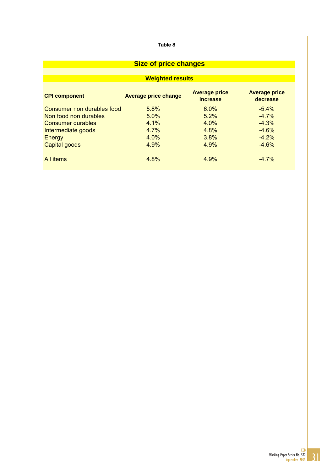# **Size of price changes**

# **Weighted results**

| <b>CPI component</b>       | <b>Average price change</b> | <b>Average price</b><br><i>increase</i> | <b>Average price</b><br>decrease |
|----------------------------|-----------------------------|-----------------------------------------|----------------------------------|
| Consumer non durables food | $5.8\%$                     | $6.0\%$                                 | $-5.4\%$                         |
| Non food non durables      | 5.0%                        | 5.2%                                    | $-4.7%$                          |
| <b>Consumer durables</b>   | 4.1%                        | 4.0%                                    | $-4.3%$                          |
| Intermediate goods         | 4.7%                        | 4.8%                                    | $-4.6%$                          |
| Energy                     | 4.0%                        | 3.8%                                    | $-4.2%$                          |
| Capital goods              | 4.9%                        | 4.9%                                    | $-4.6%$                          |
| All items                  | 4.8%                        | 4.9%                                    | $-4.7%$                          |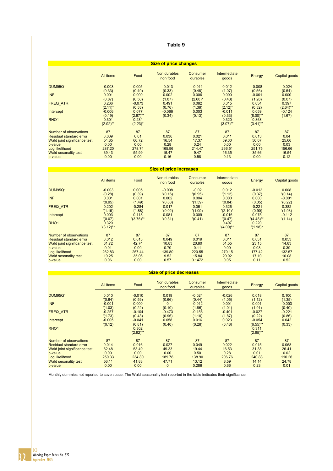| <b>Size of price changes</b>   |                      |                     |                          |                      |                              |                      |               |  |
|--------------------------------|----------------------|---------------------|--------------------------|----------------------|------------------------------|----------------------|---------------|--|
|                                | All items            | Food                | Non durables<br>non food | Consumer<br>durables | <b>Intermediate</b><br>goods | Energy               | Capital goods |  |
| <b>DUM95Q1</b>                 | $-0.003$             | 0.005               | $-0.013$                 | $-0.011$             | 0.012                        | $-0.008$             | $-0.024$      |  |
|                                | (0.33)               | (0.49)              | (0.33)                   | (0.48)               | (1.07)                       | (0.56)               | (0.54)        |  |
| <b>INF</b>                     | 0.001                | 0.000               | 0.002                    | 0.006                | 0.000                        | $-0.001$             | 0.000         |  |
|                                | (0.87)               | (0.50)              | (1.07)                   | $(2.00)^*$           | (0.43)                       | (1.26)               | (0.07)        |  |
| <b>FREQ ATR</b>                | 0.266                | $-0.073$            | 0.491                    | 0.082                | 0.315                        | 0.034                | 0.397         |  |
|                                | $(2.11)^*$           | (0.53)              | (0.76)                   | (1.38)               | $(2.12)^*$                   | (0.32)               | $(2.64)$ **   |  |
| Intercept                      | $-0.006$             | 0.077               | $-0.066$                 | 0.003                | $-0.011$                     | 0.059                | $-0.124$      |  |
|                                | (0.19)               | $(2.67)$ **         | (0.34)                   | (0.13)               | (0.33)                       | $(8.00)$ **          | (1.67)        |  |
| RHO <sub>1</sub>               | 0.301<br>$(2.92)$ ** | 0.234<br>$(2.23)^*$ |                          |                      | 0.320<br>$(3.07)$ **         | 0.368<br>$(3.41)$ ** |               |  |
| Number of observations         | 87                   | 87                  | 87                       | 87                   | 87                           | 87                   | 87            |  |
| <b>Residual standard error</b> | 0.009                | 0.01                | 0.036                    | 0.021                | 0.011                        | 0.013                | 0.04          |  |
| Wald joint significance test   | 54.85                | 66.72               | 16.54                    | 17.37                | 39.30                        | 56.07                | 25.66         |  |
| p-value                        | 0.00                 | 0.00                | 0.28                     | 0.24                 | 0.00                         | 0.00                 | 0.03          |  |
| Log likelihood                 | 287.20               | 278.74              | 165.96                   | 214.47               | 266.51                       | 251.75               | 156.66        |  |
| <b>Wald sesonality test</b>    | 39.43                | 55.99               | 15.47                    | 9.47                 | 16.35                        | 35.66                | 16.54         |  |
| p-value                        | 0.00                 | 0.00                | 0.16                     | 0.58                 | 0.13                         | 0.00                 | 0.12          |  |

| <b>Size of price increases</b> |                       |              |                          |                      |                              |                      |               |
|--------------------------------|-----------------------|--------------|--------------------------|----------------------|------------------------------|----------------------|---------------|
|                                | All items             | Food         | Non durables<br>non food | Consumer<br>durables | <b>Intermediate</b><br>goods | Energy               | Capital goods |
| <b>DUM95Q1</b>                 | $-0.003$              | 0.005        | $-0.008$                 | $-0.02$              | 0.012                        | $-0.012$             | 0.008         |
|                                | (0.28)                | (0.39)       | '(0.16)                  | '(0.95)              | '(1.12)                      | '(0.37)              | '(0.14)       |
| <b>INF</b>                     | 0.001                 | 0.001        | 0.002                    | 0.004                | 0.000                        | 0.000                | $-0.001$      |
|                                | '(0.95)               | '(1.49)      | '(0.88)                  | '(1.59)              | '(0.84)                      | '(0.05)              | '(0.22)       |
| <b>FREQ ATR</b>                | 0.202                 | $-0.284$     | 0.017                    | 0.061                | 0.326                        | $-0.221$             | 0.382         |
|                                | '(1.19)               | '(1.88)      | '(0.02)                  | '(1.09)              | $'(2.10)^*$                  | '(0.90)              | '(1.93)       |
| Intercept                      | 0.003                 | 0.118        | 0.081                    | 0.009                | $-0.016$                     | 0.075                | $-0.112$      |
|                                | '(0.07)               | $'(3.75)$ ** | '(0.31)                  | '(0.41)              | '(0.47)                      | $(4.48)$ **          | '(1.14)       |
| RHO <sub>1</sub>               | 0.320<br>$'(3.12)$ ** |              |                          |                      | 0.407<br>$'(4.09)$ **        | 0.220<br>$'(1.98)^*$ |               |
| Number of observations         | 87                    | 87           | 87                       | 87                   | 87                           | 87                   | 87            |
| <b>Residual standard error</b> | 0.012                 | 0.013        | 0.049                    | 0.019                | 0.011                        | 0.031                | 0.053         |
| Wald joint significance test   | 31.72                 | 42.74        | 10.83                    | 20.80                | 51.55                        | 23.15                | 14.83         |
| p-value                        | 0.01                  | 0.00         | 0.70                     | 0.11                 | 0.00                         | 0.08                 | 0.39          |
| Log likelihood                 | 262.83                | 257.44       | 139.80                   | 220.55               | 270.15                       | 177.42               | 132.57        |
| Wald sesonality test           | 19.25                 | 35.06        | 9.52                     | 15.84                | 20.02                        | 17.10                | 10.08         |
| p-value                        | 0.06                  | 0.00         | 0.57                     | 0.1472               | 0.05                         | 0.11                 | 0.52          |
|                                |                       |              |                          |                      |                              |                      |               |

### **Size of price decreases**

|                              | All items | Food        | Non durables<br>non food | Consumer<br>durables | Intermediate<br>goods | Energy      | Capital goods |
|------------------------------|-----------|-------------|--------------------------|----------------------|-----------------------|-------------|---------------|
| <b>DUM95Q1</b>               | 0.010     | $-0.010$    | 0.019                    | $-0.024$             | $-0.026$              | 0.018       | 0.100         |
|                              | '(0.64)   | (0.59)      | (0.66)                   | (0.44)               | (1.05)                | (1.12)      | (1.35)        |
| <b>INF</b>                   | $-0.001$  | 0.000       | $\Omega$                 | $-0.012$             | 0.001                 | 0.001       | $-0.003$      |
|                              | '(1.03)   | (0.22)      | (0.10)                   | (1.86)               | (1.01)                | (1.91)      | (0.40)        |
| <b>FREQ ATR</b>              | $-0.257$  | $-0.104$    | $-0.473$                 | $-0.156$             | $-0.401$              | $-0.027$    | $-0.221$      |
|                              | '(1.73)   | (0.43)      | (0.96)                   | (1.10)               | (1.87)                | (0.22)      | (0.86)        |
| Intercept                    | $-0.005$  | $-0.041$    | 0.058                    | 0.016                | 0.023                 | $-0.054$    | 0.042         |
|                              | '(0.12)   | (0.81)      | (0.40)                   | (0.28)               | (0.48)                | $(6.55)$ ** | (0.33)        |
| RHO <sub>1</sub>             |           | 0.302       |                          |                      |                       | 0.311       |               |
|                              |           | $(2.92)$ ** |                          |                      |                       | $(2.95)$ ** |               |
| Number of observations       | 87        | 87          | 87                       | 87                   | 87                    | 87          | 87            |
| Residual standard error      | 0.014     | 0.016       | 0.027                    | 0.049                | 0.022                 | 0.015       | 0.068         |
| Wald joint significance test | 62.48     | 53.49       | 49.33                    | 19.44                | 16.53                 | 31.38       | 26.41         |
| p-value                      | 0.00      | 0.00        | 0.00                     | 0.50                 | 0.28                  | 0.01        | 0.02          |
| Log likelihood               | 250.33    | 234.80      | 189.78                   | 138,90               | 206.76                | 240.88      | 110.26        |
| Wald sesonality test         | 56.11     | 41.83       | 47.71                    | 13.12                | 8.59                  | 14.14       | 24.78         |
| p-value                      | 0.00      | 0.00        | $\mathbf{0}$             | 0.286                | 0.66                  | 0.23        | 0.01          |

Monthly dummies not reported to save space. The Wald seasonality test reported in the table indicates their significance.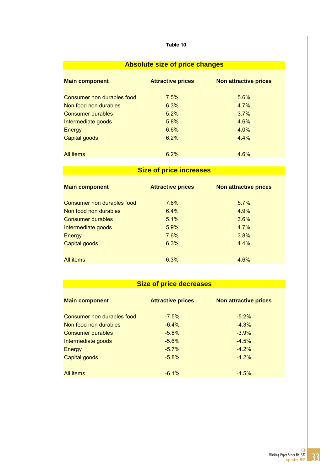| <b>Absolute size of price changes</b> |  |  |
|---------------------------------------|--|--|
|                                       |  |  |

| <b>Main component</b>      | <b>Attractive prices</b> | <b>Non attractive prices</b> |
|----------------------------|--------------------------|------------------------------|
| Consumer non durables food | 7.5%                     | 5.6%                         |
| Non food non durables      | 6.3%                     | $4.7\%$                      |
| <b>Consumer durables</b>   | 5.2%                     | 3.7%                         |
| Intermediate goods         | 5.8%                     | 4.6%                         |
| Energy                     | 6.6%                     | $4.0\%$                      |
| Capital goods              | 6.2%                     | $4.4\%$                      |
|                            |                          |                              |
| All <i>items</i>           | 6.2%                     | 4.6%                         |

# **Size of price increases**

| <b>Main component</b>      | <b>Attractive prices</b> | <b>Non attractive prices</b> |
|----------------------------|--------------------------|------------------------------|
| Consumer non durables food | 7.6%                     | 5.7%                         |
| Non food non durables      | 6.4%                     | 4.9%                         |
| Consumer durables          | 5.1%                     | 3.6%                         |
| Intermediate goods         | 5.9%                     | 4.7%                         |
| Energy                     | 7.6%                     | 3.8%                         |
| Capital goods              | 6.3%                     | 4.4%                         |
| All items                  | 6.3%                     | 4.6%                         |

# **Size of price decreases Size of price decreases**

| <b>Main component</b>      | <b>Attractive prices</b> | <b>Non attractive prices</b> |
|----------------------------|--------------------------|------------------------------|
| Consumer non durables food | $-7.5\%$                 | $-5.2\%$                     |
| Non food non durables      | $-6.4%$                  | $-4.3%$                      |
| <b>Consumer durables</b>   | $-5.8\%$                 | $-3.9%$                      |
| Intermediate goods         | $-5.6%$                  | $-4.5%$                      |
| Energy                     | $-5.7\%$                 | $-4.2\%$                     |
| Capital goods              | $-5.8%$                  | $-4.2%$                      |
| All items                  | $-6.1\%$                 | $-4.5%$                      |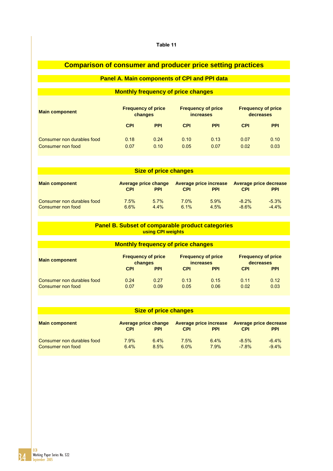# **Comparison of consumer and producer price setting practices**

# **Panel A. Main components of CPI and PPI data**

# **Monthly frequency of price changes**

| <b>Main component</b>      | <b>Frequency of price</b> |            | <b>Frequency of price</b> |            | <b>Frequency of price</b> |            |
|----------------------------|---------------------------|------------|---------------------------|------------|---------------------------|------------|
|                            | changes                   |            | <i>increases</i>          |            | decreases                 |            |
|                            | <b>CPI</b>                | <b>PPI</b> | <b>CPI</b>                | <b>PPI</b> | <b>CPI</b>                | <b>PPI</b> |
| Consumer non durables food | 0.18                      | 0.24       | 0.10                      | 0.13       | 0.07                      | 0.10       |
| Consumer non food          | 0.07                      | 0.10       | 0.05                      | 0.07       | 0.02                      | 0.03       |

| <b>Size of price changes</b>                    |                 |                                           |                 |                                             |                      |                                      |  |  |
|-------------------------------------------------|-----------------|-------------------------------------------|-----------------|---------------------------------------------|----------------------|--------------------------------------|--|--|
| <b>Main component</b>                           | <b>CPI</b>      | <b>Average price change</b><br><b>PPI</b> | <b>CPI</b>      | <b>Average price increase</b><br><b>PPI</b> | <b>CPI</b>           | Average price decrease<br><b>PPI</b> |  |  |
| Consumer non durables food<br>Consumer non food | $7.5\%$<br>6.6% | $5.7\%$<br>$4.4\%$                        | $7.0\%$<br>6.1% | $5.9\%$<br>4.5%                             | $-8.2\%$<br>$-8.6\%$ | $-5.3\%$<br>$-4.4%$                  |  |  |

### **Panel B. Subset of comparable product categories using CPI weights**

| <b>Monthly frequency of price changes</b>       |              |                                                                  |              |                                                                           |                            |                                                      |  |  |
|-------------------------------------------------|--------------|------------------------------------------------------------------|--------------|---------------------------------------------------------------------------|----------------------------|------------------------------------------------------|--|--|
| <b>Main component</b>                           |              | <b>Frequency of price</b><br>changes<br><b>CPI</b><br><b>PPI</b> |              | <b>Frequency of price</b><br><i>increases</i><br><b>PPI</b><br><b>CPI</b> |                            | <b>Frequency of price</b><br>decreases<br><b>PPI</b> |  |  |
| Consumer non durables food<br>Consumer non food | 0.24<br>0.07 | 0.27<br>0.09                                                     | 0.13<br>0.05 | 0.15<br>0.06                                                              | <b>CPI</b><br>0.11<br>0.02 | 0.12<br>0.03                                         |  |  |

| <b>Size of price changes</b>                    |                                                         |              |              |                                      |                                                           |                     |  |  |  |
|-------------------------------------------------|---------------------------------------------------------|--------------|--------------|--------------------------------------|-----------------------------------------------------------|---------------------|--|--|--|
| <b>Main component</b>                           | <b>Average price change</b><br><b>CPI</b><br><b>PPI</b> |              |              | Average price increase<br><b>PPI</b> | <b>Average price decrease</b><br><b>CPI</b><br><b>PPI</b> |                     |  |  |  |
| Consumer non durables food<br>Consumer non food | 7.9%<br>6.4%                                            | 6.4%<br>8.5% | 7.5%<br>6.0% | $6.4\%$<br>7.9%                      | $-8.5\%$<br>$-7.8%$                                       | $-6.4\%$<br>$-9.4%$ |  |  |  |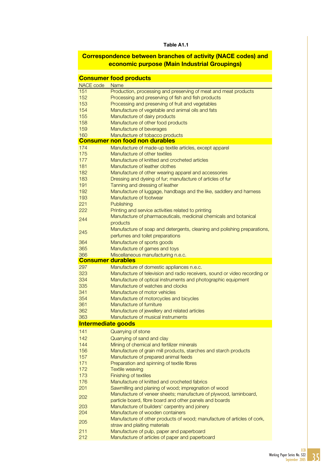# Table A1.1

# Correspondence between branches of activity (NACE codes) and economic purpose (Main Industrial Groupings)

|                          | <b>Consumer food products</b>                                                                                                               |
|--------------------------|---------------------------------------------------------------------------------------------------------------------------------------------|
|                          |                                                                                                                                             |
| NACE code<br>151         | <b>Name</b><br>Production, processing and preserving of meat and meat products                                                              |
| 152                      | Processing and preserving of fish and fish products                                                                                         |
| 153                      | Processing and preserving of fruit and vegetables                                                                                           |
| 154                      | Manufacture of vegetable and animal oils and fats                                                                                           |
| 155                      | Manufacture of dairy products                                                                                                               |
| 158                      | Manufacture of other food products                                                                                                          |
| 159                      | Manufacture of beverages                                                                                                                    |
| 160                      | Manufacture of tobacco products                                                                                                             |
|                          | <b>Consumer non food non durables</b>                                                                                                       |
| 174                      | Manufacture of made-up textile articles, except apparel                                                                                     |
| 175                      | Manufacture of other textiles                                                                                                               |
| 177                      | Manufacture of knitted and crocheted articles                                                                                               |
| 181                      | Manufacture of leather clothes                                                                                                              |
| 182                      | Manufacture of other wearing apparel and accessories                                                                                        |
| 183                      | Dressing and dyeing of fur; manufacture of articles of fur                                                                                  |
| 191                      | Tanning and dressing of leather                                                                                                             |
| 192                      | Manufacture of luggage, handbags and the like, saddlery and harness                                                                         |
| 193                      | Manufacture of footwear                                                                                                                     |
| 221                      | Publishing                                                                                                                                  |
| 222                      | Printing and service activities related to printing                                                                                         |
| 244                      | Manufacture of pharmaceuticals, medicinal chemicals and botanical                                                                           |
|                          | products                                                                                                                                    |
| 245                      | Manufacture of soap and detergents, cleaning and polishing preparations,                                                                    |
|                          | perfumes and toilet preparations                                                                                                            |
| 364<br>365               | Manufacture of sports goods                                                                                                                 |
| 366                      | Manufacture of games and toys<br>Miscellaneous manufacturing n.e.c.                                                                         |
|                          |                                                                                                                                             |
| <b>Consumer durables</b> |                                                                                                                                             |
| 297                      |                                                                                                                                             |
| 323                      | Manufacture of domestic appliances n.e.c.                                                                                                   |
| 334                      | Manufacture of television and radio receivers, sound or video recording or<br>Manufacture of optical instruments and photographic equipment |
| 335                      | Manufacture of watches and clocks                                                                                                           |
| 341                      | Manufacture of motor vehicles                                                                                                               |
| 354                      | Manufacture of motorcycles and bicycles                                                                                                     |
| 361                      | Manufacture of furniture                                                                                                                    |
| 362                      | Manufacture of jewellery and related articles                                                                                               |
| 363                      | Manufacture of musical instruments                                                                                                          |
| Intermediate goods       |                                                                                                                                             |
| 141                      | Quarrying of stone                                                                                                                          |
| 142                      | Quarrying of sand and clay                                                                                                                  |
| 144                      | Mining of chemical and fertilizer minerals                                                                                                  |
| 156                      | Manufacture of grain mill products, starches and starch products                                                                            |
| 157                      | Manufacture of prepared animal feeds                                                                                                        |
| 171                      | Preparation and spinning of textile fibres                                                                                                  |
| 172                      | <b>Textile weaving</b>                                                                                                                      |
|                          | Finishing of textiles                                                                                                                       |
| 176                      | Manufacture of knitted and crocheted fabrics                                                                                                |
| 201                      | Sawmilling and planing of wood; impregnation of wood                                                                                        |
| 202                      | Manufacture of veneer sheets; manufacture of plywood, laminboard,                                                                           |
|                          | particle board, fibre board and other panels and boards                                                                                     |
| 203                      | Manufacture of builders' carpentry and joinery                                                                                              |
| 204                      | Manufacture of wooden containers                                                                                                            |
| 173<br>205               | Manufacture of other products of wood; manufacture of articles of cork,                                                                     |
| 211                      | straw and plaiting materials<br>Manufacture of pulp, paper and paperboard                                                                   |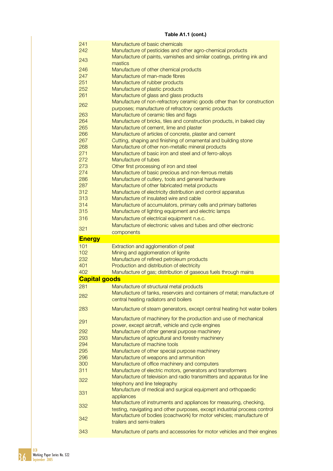|  |  | Table A1.1 (cont.) |
|--|--|--------------------|
|--|--|--------------------|

| 241                  | Manufacture of basic chemicals                                            |
|----------------------|---------------------------------------------------------------------------|
| 242                  | Manufacture of pesticides and other agro-chemical products                |
|                      | Manufacture of paints, varnishes and similar coatings, printing ink and   |
| 243                  | mastics                                                                   |
|                      |                                                                           |
| 246                  | Manufacture of other chemical products                                    |
| 247                  | Manufacture of man-made fibres                                            |
| 251                  | Manufacture of rubber products                                            |
| 252                  | Manufacture of plastic products                                           |
|                      |                                                                           |
| 261                  | Manufacture of glass and glass products                                   |
| 262                  | Manufacture of non-refractory ceramic goods other than for construction   |
|                      | purposes; manufacture of refractory ceramic products                      |
| 263                  | Manufacture of ceramic tiles and flags                                    |
| 264                  | Manufacture of bricks, tiles and construction products, in baked clay     |
|                      |                                                                           |
| 265                  | Manufacture of cement, lime and plaster                                   |
| 266                  | Manufacture of articles of concrete, plaster and cement                   |
| 267                  | Cutting, shaping and finishing of ornamental and building stone           |
| 268                  | Manufacture of other non-metallic mineral products                        |
| 271                  | Manufacture of basic iron and steel and of ferro-alloys                   |
| 272                  | Manufacture of tubes                                                      |
|                      |                                                                           |
| 273                  | Other first processing of iron and steel                                  |
| 274                  | Manufacture of basic precious and non-ferrous metals                      |
| 286                  | Manufacture of cutlery, tools and general hardware                        |
| 287                  | Manufacture of other fabricated metal products                            |
| 312                  |                                                                           |
|                      | Manufacture of electricity distribution and control apparatus             |
| 313                  | Manufacture of insulated wire and cable                                   |
| 314                  | Manufacture of accumulators, primary cells and primary batteries          |
| 315                  | Manufacture of lighting equipment and electric lamps                      |
| 316                  | Manufacture of electrical equipment n.e.c.                                |
|                      |                                                                           |
| 321                  | Manufacture of electronic valves and tubes and other electronic           |
|                      | components                                                                |
|                      |                                                                           |
| <b>Energy</b>        |                                                                           |
|                      |                                                                           |
| 101                  | Extraction and agglomeration of peat                                      |
| 102                  | Mining and agglomeration of lignite                                       |
| 232                  | Manufacture of refined petroleum products                                 |
| 401                  | Production and distribution of electricity                                |
| 402                  | Manufacture of gas; distribution of gaseous fuels through mains           |
|                      |                                                                           |
| <b>Capital goods</b> |                                                                           |
| 281                  | Manufacture of structural metal products                                  |
|                      | Manufacture of tanks, reservoirs and containers of metal; manufacture of  |
| 282                  | central heating radiators and boilers                                     |
|                      |                                                                           |
| 283                  | Manufacture of steam generators, except central heating hot water boilers |
|                      |                                                                           |
| 291                  | Manufacture of machinery for the production and use of mechanical         |
|                      | power, except aircraft, vehicle and cycle engines                         |
| 292                  | Manufacture of other general purpose machinery                            |
| 293                  | Manufacture of agricultural and forestry machinery                        |
| 294                  | Manufacture of machine tools                                              |
|                      |                                                                           |
| 295                  | Manufacture of other special purpose machinery                            |
| 296                  | Manufacture of weapons and ammunition                                     |
| 300                  | Manufacture of office machinery and computers                             |
| 311                  | Manufacture of electric motors, generators and transformers               |
|                      | Manufacture of television and radio transmitters and apparatus for line   |
| 322                  |                                                                           |
|                      | telephony and line telegraphy                                             |
| 331                  | Manufacture of medical and surgical equipment and orthopaedic             |
|                      | appliances                                                                |
| 332                  | Manufacture of instruments and appliances for measuring, checking,        |
|                      | testing, navigating and other purposes, except industrial process control |
|                      | Manufacture of bodies (coachwork) for motor vehicles; manufacture of      |
| 342                  | trailers and semi-trailers                                                |
| 343                  | Manufacture of parts and accessories for motor vehicles and their engines |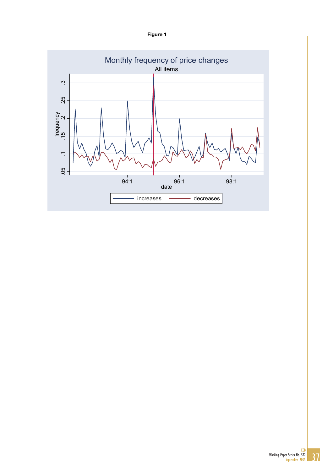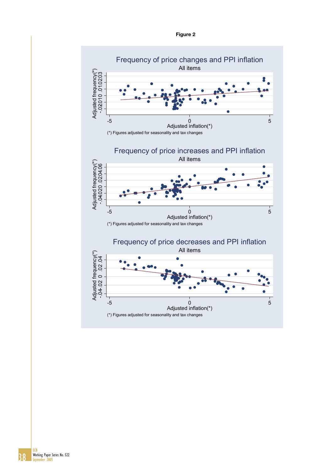

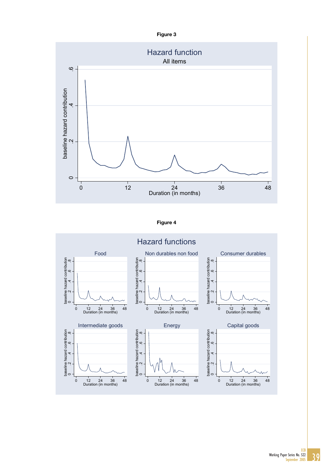

Figure 4

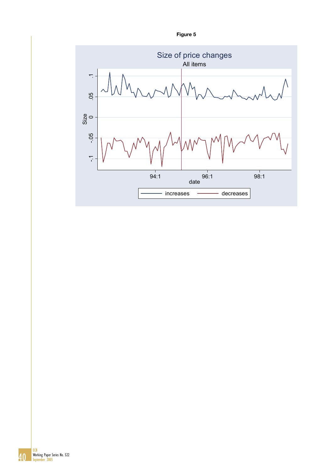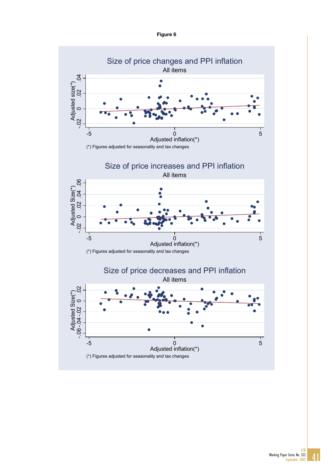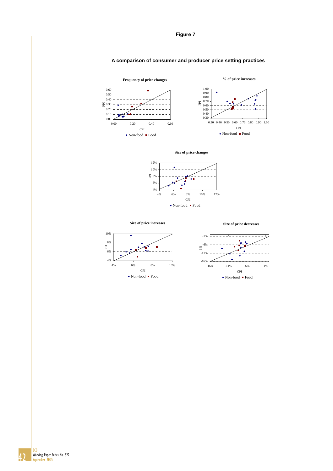







**Size of price increases**

**Size of price decreases**



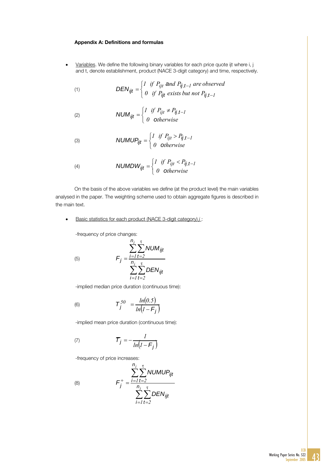#### Appendix A: Definitions and formulas

Variables. We define the following binary variables for each price quote ijt where i, j and t, denote establishment, product (NACE 3-digit category) and time, respectively.

(1) 
$$
DEN_{ijt} = \begin{cases} I & \text{if } P_{ijt} \text{ and } P_{ij,t-1} \text{ are observed} \\ 0 & \text{if } P_{ijt} \text{ exists but not } P_{ij,t-1} \end{cases}
$$

(2) 
$$
NUM_{ijt} = \begin{cases} I & \text{if } P_{ijt} \neq P_{ij,t-1} \\ 0 & \text{otherwise} \end{cases}
$$

$$
NUMUP_{ijt} = \begin{cases} I & \text{if } P_{ijt} > P_{ij,t-1} \\ 0 & \text{otherwise} \end{cases}
$$

$$
\text{(4)} \quad \text{NUMDW}_{ijt} = \begin{cases} I & \text{if } P_{ijt} < P_{ij,t-1} \\ 0 & \text{otherwise} \end{cases}
$$

On the basis of the above variables we define (at the product level) the main variables analysed in the paper. The weighting scheme used to obtain aggregate figures is described in the main text.

# • Basic statistics for each product (NACE 3-digit category) *j* :

*n*

-frequency of price changes:

(5)

 $\overline{(}$ 

$$
F_j = \frac{\sum_{i=1}^{n_j} \sum_{t=2}^{\tau} NUM_{ijt}}{\sum_{i=1}^{n_j} \sum_{t=2}^{\tau} DEN_{ijt}}
$$

-implied median price duration (continuous time):

(6) 
$$
\mathcal{T}_j^{50} = \frac{ln(0.5)}{ln(1 - F_j)}
$$

-implied mean price duration (continuous time):

$$
\mathcal{T}_j = -\frac{l}{ln(l - F_j)}
$$

-frequency of price increases:

$$
F_j^+ = \frac{\sum_{i=1}^{n_j} \sum_{t=2}^{\tau} NUMBER_{ijt}}{\sum_{i=1}^{n_j} \sum_{t=2}^{\tau} DEN_{ijt}}
$$

(8)

**ECB**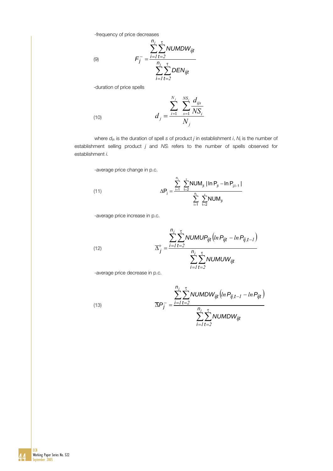-frequency of price decreases

$$
F_j^- = \frac{\sum_{i=1}^{n_j} \sum_{t=2}^{\tau} NUMDW_{ijt}}{\sum_{i=1}^{n_j} \sum_{t=2}^{\tau} DEN_{ijt}}
$$

-duration of price spells

(10) 
$$
d_{j} = \frac{\sum_{i=1}^{N_{j}} \sum_{s=1}^{NS_{i}} \frac{d_{ijs}}{NS_{i}}}{N_{j}}
$$

 where *dijs* is the duration of spell *s* of product *j* in establishment *i*, *Nj* is the number of establishment selling product *j* and *NSi* refers to the number of spells observed for establishment *i*.

-average price change in p.c.

(11) 
$$
\Delta P_j = \frac{\sum_{i=1}^{n_j} \sum_{t=2}^{t} NUM_{jt} |ln P_{jt} - ln P_{j,t-1}|}{\sum_{i=1}^{n_i} \sum_{t=2}^{t} NUM_{jt}}
$$

-average price increase in p.c.

(12) 
$$
\overline{\Delta}_{j}^{+} = \frac{\sum_{i=1}^{n_{j}} \sum_{t=2}^{\tau} NUMUP_{ijt}(ln P_{ijt} - ln P_{ij,t-1})}{\sum_{i=1}^{n_{j}} \sum_{t=2}^{\tau} NUMUW_{ijt}}
$$

-average price decrease in p.c.

(13) 
$$
\overline{\Delta P_j} = \frac{\sum_{i=1}^{n_j} \sum_{t=2}^{\tau} NUMDW_{ijt} (ln P_{ij, t-1} - ln P_{ijt})}{\sum_{i=1}^{n_j} \sum_{t=2}^{\tau} NUMDW_{ijt}}
$$

(9)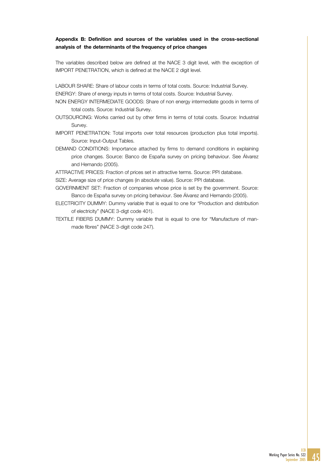## Appendix B: Definition and sources of the variables used in the cross-sectional analysis of the determinants of the frequency of price changes

The variables described below are defined at the NACE 3 digit level, with the exception of IMPORT PENETRATION, which is defined at the NACE 2 digit level.

LABOUR SHARE: Share of labour costs in terms of total costs. Source: Industrial Survey. ENERGY: Share of energy inputs in terms of total costs. Source: Industrial Survey.

- NON ENERGY INTERMEDIATE GOODS: Share of non energy intermediate goods in terms of total costs. Source: Industrial Survey.
- OUTSOURCING: Works carried out by other firms in terms of total costs. Source: Industrial Survey.

IMPORT PENETRATION: Total imports over total resources (production plus total imports). Source: Input-Output Tables.

DEMAND CONDITIONS: Importance attached by firms to demand conditions in explaining price changes. Source: Banco de España survey on pricing behaviour. See Álvarez and Hernando (2005).

ATTRACTIVE PRICES: Fraction of prices set in attractive terms. Source: PPI database.

SIZE: Average size of price changes (in absolute value). Source: PPI database.

- GOVERNMENT SET: Fraction of companies whose price is set by the government. Source: Banco de España survey on pricing behaviour. See Álvarez and Hernando (2005).
- ELECTRICITY DUMMY: Dummy variable that is equal to one for "Production and distribution of electricity" (NACE 3-digt code 401).
- TEXTILE FIBERS DUMMY: Dummy variable that is equal to one for "Manufacture of manmade fibres" (NACE 3-digit code 247).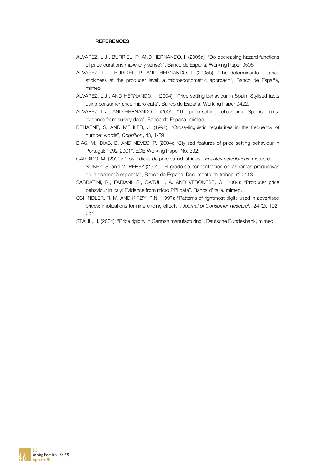### **REFERENCES**

- ÁLVAREZ, L.J., BURRIEL, P. AND HERNANDO, I. (2005a): "Do decreasing hazard functions of price durations make any sense?", Banco de España, Working Paper 0508.
- ÁLVAREZ, L.J., BURRIEL, P. AND HERNANDO, I. (2005b): "The determinants of price stickiness at the producer level: a microeconometric approach", Banco de España, mimeo.
- ÁLVAREZ, L.J., AND HERNANDO, I. (2004): "Price setting behaviour in Spain. Stylised facts using consumer price micro data", Banco de España, Working Paper 0422.
- ÁLVAREZ, L.J., AND HERNANDO, I. (2005): "The price setting behaviour of Spanish firms: evidence from survey data", Banco de España, mimeo.
- DEHAENE, S. AND MEHLER, J. (1992): "Cross-linguistic regularities in the frequency of number words", *Cognition*, 43, 1-29
- DIAS, M., DIAS, D. AND NEVES, P. (2004): "Stylised features of price setting behaviour in Portugal: 1992-2001", ECB Working Paper No. 332.
- GARRIDO, M. (2001): "Los índices de precios industriales", *Fuentes estadísticas*. Octubre. NUÑEZ; S. and M. PÉREZ (2001): "El grado de concentración en las ramas productivas de la economía española", Banco de España. Documento de trabajo nº 0113
- SABBATINI, R., FABIANI, S., GATULLI, A. AND VERONESE, G. (2004): "Producer price behaviour in Italy: Evidence from micro PPI data". Banca d'Italia, mimeo.
- SCHINDLER, R. M. AND KIRBY, P.N. (1997): "Patterns of rightmost digits used in advertised prices: implications for nine-ending effects", *Journal of Consumer Research*, 24 (2), 192- 201.
- STAHL, H. (2004): "Price rigidity in German manufacturing", Deutsche Bundesbank, mimeo.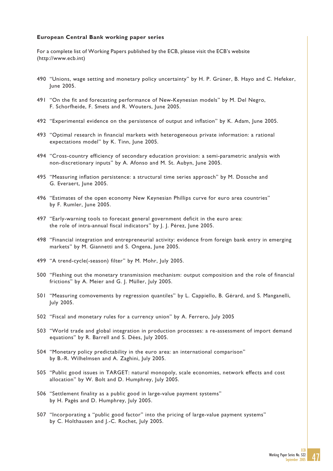#### **European Central Bank working paper series**

For a complete list of Working Papers published by the ECB, please visit the ECB's website (http://www.ecb.int)

- 490 "Unions, wage setting and monetary policy uncertainty" by H. P. Grüner, B. Hayo and C. Hefeker, June 2005.
- 491 "On the fit and forecasting performance of New-Keynesian models" by M. Del Negro, F. Schorfheide, F. Smets and R. Wouters, June 2005.
- 492 "Experimental evidence on the persistence of output and inflation" by K. Adam, June 2005.
- 493 "Optimal research in financial markets with heterogeneous private information: a rational expectations model" by K. Tinn, June 2005.
- 494 "Cross-country efficiency of secondary education provision: a semi-parametric analysis with non-discretionary inputs" by A. Afonso and M. St. Aubyn, June 2005.
- 495 "Measuring inflation persistence: a structural time series approach" by M. Dossche and G. Everaert, June 2005.
- 496 "Estimates of the open economy New Keynesian Phillips curve for euro area countries" by F. Rumler, June 2005.
- 497 "Early-warning tools to forecast general government deficit in the euro area: the role of intra-annual fiscal indicators" by J. J. Pérez, June 2005.
- 498 "Financial integration and entrepreneurial activity: evidence from foreign bank entry in emerging markets" by M. Giannetti and S. Ongena, June 2005.
- 499 "A trend-cycle(-season) filter" by M. Mohr, July 2005.
- 500 "Fleshing out the monetary transmission mechanism: output composition and the role of financial frictions" by A. Meier and G. J. Müller, July 2005.
- 501 "Measuring comovements by regression quantiles" by L. Cappiello, B. Gérard, and S. Manganelli, July 2005.
- 502 "Fiscal and monetary rules for a currency union" by A. Ferrero, July 2005
- 503 "World trade and global integration in production processes: a re-assessment of import demand equations" by R. Barrell and S. Dées, July 2005.
- 504 "Monetary policy predictability in the euro area: an international comparison" by B.-R. Wilhelmsen and A. Zaghini, July 2005.
- 505 "Public good issues in TARGET: natural monopoly, scale economies, network effects and cost allocation" by W. Bolt and D. Humphrey, July 2005.
- 506 "Settlement finality as a public good in large-value payment systems" by H. Pagès and D. Humphrey, July 2005.
- 507 "Incorporating a "public good factor" into the pricing of large-value payment systems" by C. Holthausen and J.-C. Rochet, July 2005.